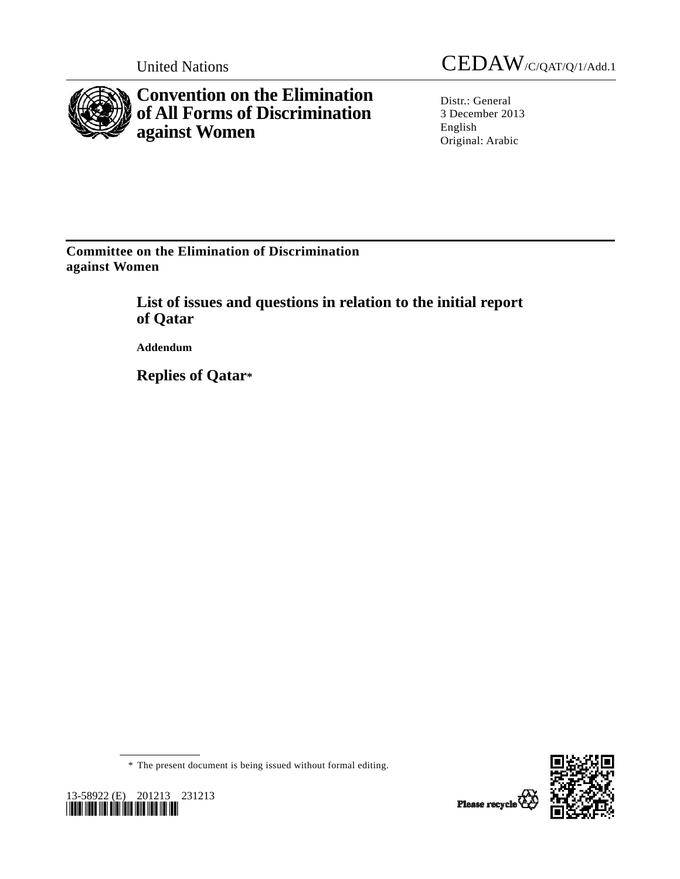

**Convention on the Elimination of All Forms of Discrimination against Women** 

United Nations CEDAW/C/QAT/Q/1/Add.1

Distr.: General 3 December 2013 English Original: Arabic

**Committee on the Elimination of Discrimination against Women** 

> **List of issues and questions in relation to the initial report of Qatar**

 **Addendum** 

 **Replies of Qatar\*** 

\* The present document is being issued without formal editing.



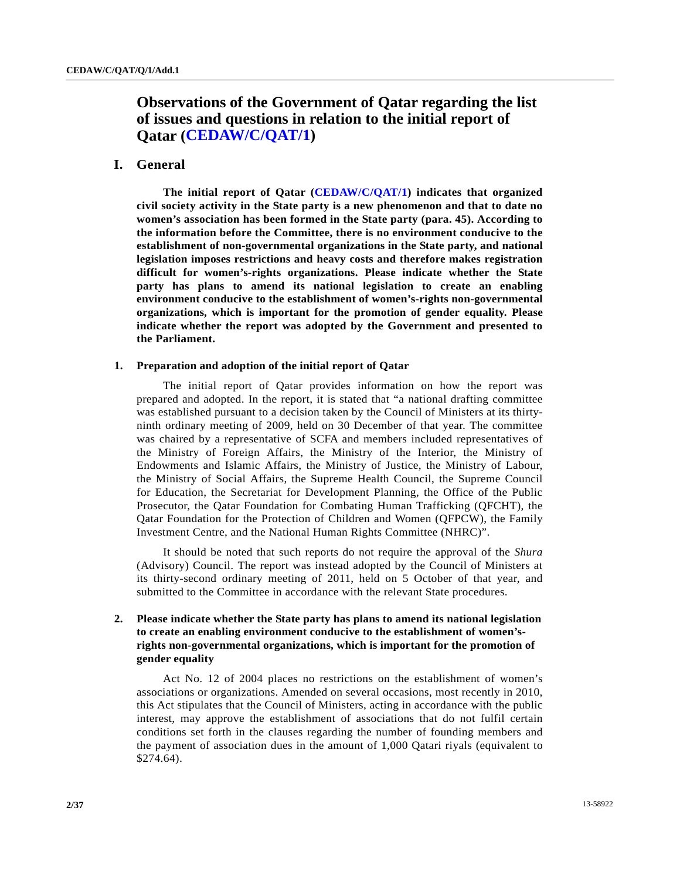# **Observations of the Government of Qatar regarding the list of issues and questions in relation to the initial report of Qatar [\(CEDAW/C/QAT/1\)](http://undocs.org/CEDAW/C/QAT/1)**

# **I. General**

**The initial report of Qatar [\(CEDAW/C/QAT/1](http://undocs.org/CEDAW/C/QAT/1)) indicates that organized civil society activity in the State party is a new phenomenon and that to date no women's association has been formed in the State party (para. 45). According to the information before the Committee, there is no environment conducive to the establishment of non-governmental organizations in the State party, and national legislation imposes restrictions and heavy costs and therefore makes registration difficult for women's-rights organizations. Please indicate whether the State party has plans to amend its national legislation to create an enabling environment conducive to the establishment of women's-rights non-governmental organizations, which is important for the promotion of gender equality. Please indicate whether the report was adopted by the Government and presented to the Parliament.**

#### **1. Preparation and adoption of the initial report of Qatar**

 The initial report of Qatar provides information on how the report was prepared and adopted. In the report, it is stated that "a national drafting committee was established pursuant to a decision taken by the Council of Ministers at its thirtyninth ordinary meeting of 2009, held on 30 December of that year. The committee was chaired by a representative of SCFA and members included representatives of the Ministry of Foreign Affairs, the Ministry of the Interior, the Ministry of Endowments and Islamic Affairs, the Ministry of Justice, the Ministry of Labour, the Ministry of Social Affairs, the Supreme Health Council, the Supreme Council for Education, the Secretariat for Development Planning, the Office of the Public Prosecutor, the Qatar Foundation for Combating Human Trafficking (QFCHT), the Qatar Foundation for the Protection of Children and Women (QFPCW), the Family Investment Centre, and the National Human Rights Committee (NHRC)".

 It should be noted that such reports do not require the approval of the *Shura* (Advisory) Council. The report was instead adopted by the Council of Ministers at its thirty-second ordinary meeting of 2011, held on 5 October of that year, and submitted to the Committee in accordance with the relevant State procedures.

# **2. Please indicate whether the State party has plans to amend its national legislation to create an enabling environment conducive to the establishment of women'srights non-governmental organizations, which is important for the promotion of gender equality**

 Act No. 12 of 2004 places no restrictions on the establishment of women's associations or organizations. Amended on several occasions, most recently in 2010, this Act stipulates that the Council of Ministers, acting in accordance with the public interest, may approve the establishment of associations that do not fulfil certain conditions set forth in the clauses regarding the number of founding members and the payment of association dues in the amount of 1,000 Qatari riyals (equivalent to \$274.64).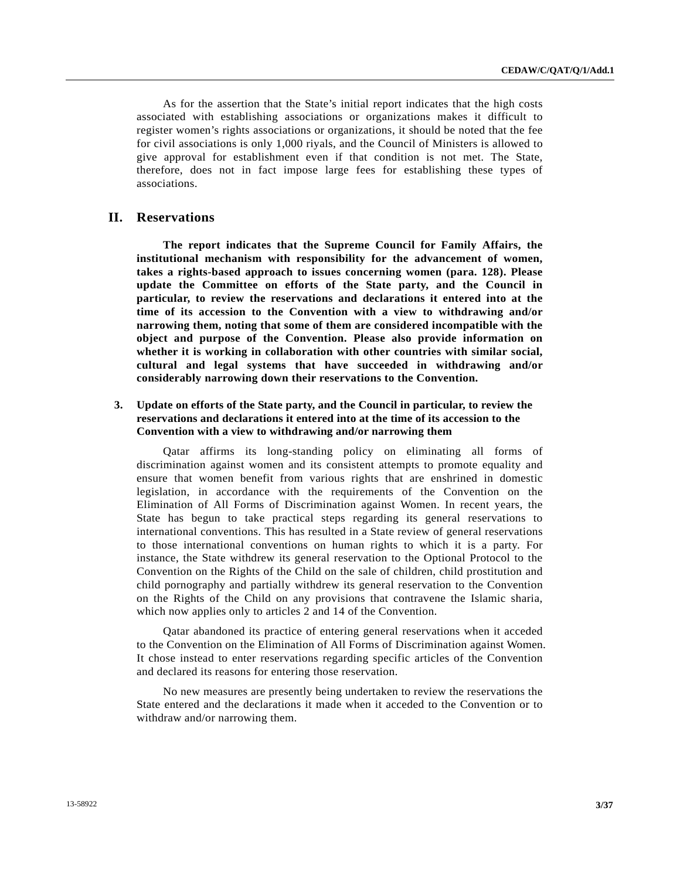As for the assertion that the State's initial report indicates that the high costs associated with establishing associations or organizations makes it difficult to register women's rights associations or organizations, it should be noted that the fee for civil associations is only 1,000 riyals, and the Council of Ministers is allowed to give approval for establishment even if that condition is not met. The State, therefore, does not in fact impose large fees for establishing these types of associations.

# **II. Reservations**

**The report indicates that the Supreme Council for Family Affairs, the institutional mechanism with responsibility for the advancement of women, takes a rights-based approach to issues concerning women (para. 128). Please update the Committee on efforts of the State party, and the Council in particular, to review the reservations and declarations it entered into at the time of its accession to the Convention with a view to withdrawing and/or narrowing them, noting that some of them are considered incompatible with the object and purpose of the Convention. Please also provide information on whether it is working in collaboration with other countries with similar social, cultural and legal systems that have succeeded in withdrawing and/or considerably narrowing down their reservations to the Convention.**

# **3. Update on efforts of the State party, and the Council in particular, to review the reservations and declarations it entered into at the time of its accession to the Convention with a view to withdrawing and/or narrowing them**

 Qatar affirms its long-standing policy on eliminating all forms of discrimination against women and its consistent attempts to promote equality and ensure that women benefit from various rights that are enshrined in domestic legislation, in accordance with the requirements of the Convention on the Elimination of All Forms of Discrimination against Women. In recent years, the State has begun to take practical steps regarding its general reservations to international conventions. This has resulted in a State review of general reservations to those international conventions on human rights to which it is a party. For instance, the State withdrew its general reservation to the Optional Protocol to the Convention on the Rights of the Child on the sale of children, child prostitution and child pornography and partially withdrew its general reservation to the Convention on the Rights of the Child on any provisions that contravene the Islamic sharia, which now applies only to articles 2 and 14 of the Convention.

 Qatar abandoned its practice of entering general reservations when it acceded to the Convention on the Elimination of All Forms of Discrimination against Women. It chose instead to enter reservations regarding specific articles of the Convention and declared its reasons for entering those reservation.

 No new measures are presently being undertaken to review the reservations the State entered and the declarations it made when it acceded to the Convention or to withdraw and/or narrowing them.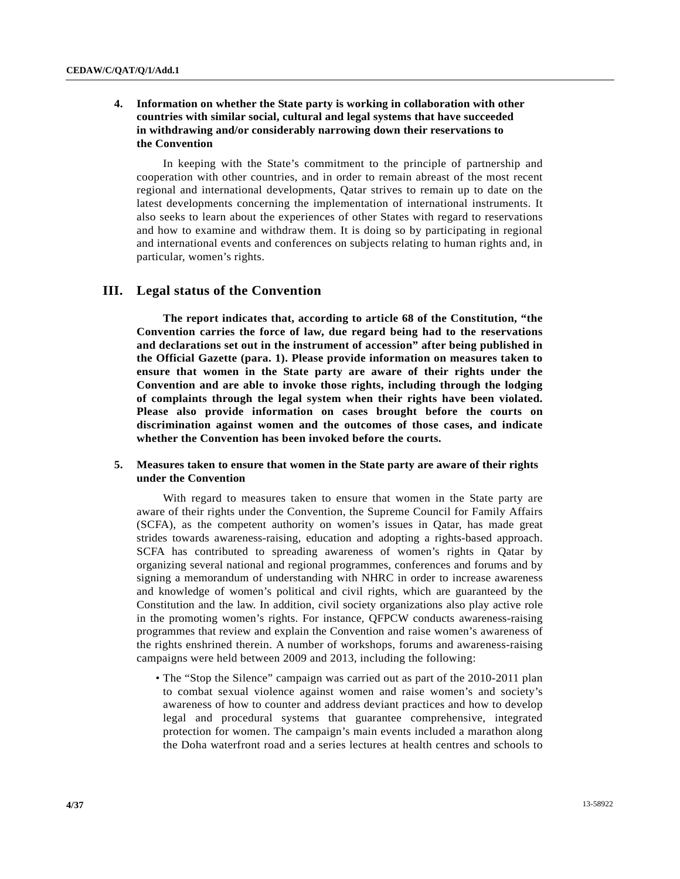# **4. Information on whether the State party is working in collaboration with other countries with similar social, cultural and legal systems that have succeeded in withdrawing and/or considerably narrowing down their reservations to the Convention**

 In keeping with the State's commitment to the principle of partnership and cooperation with other countries, and in order to remain abreast of the most recent regional and international developments, Qatar strives to remain up to date on the latest developments concerning the implementation of international instruments. It also seeks to learn about the experiences of other States with regard to reservations and how to examine and withdraw them. It is doing so by participating in regional and international events and conferences on subjects relating to human rights and, in particular, women's rights.

# **III. Legal status of the Convention**

**The report indicates that, according to article 68 of the Constitution, "the Convention carries the force of law, due regard being had to the reservations and declarations set out in the instrument of accession" after being published in the Official Gazette (para. 1). Please provide information on measures taken to ensure that women in the State party are aware of their rights under the Convention and are able to invoke those rights, including through the lodging of complaints through the legal system when their rights have been violated. Please also provide information on cases brought before the courts on discrimination against women and the outcomes of those cases, and indicate whether the Convention has been invoked before the courts.** 

## **5. Measures taken to ensure that women in the State party are aware of their rights under the Convention**

 With regard to measures taken to ensure that women in the State party are aware of their rights under the Convention, the Supreme Council for Family Affairs (SCFA), as the competent authority on women's issues in Qatar, has made great strides towards awareness-raising, education and adopting a rights-based approach. SCFA has contributed to spreading awareness of women's rights in Qatar by organizing several national and regional programmes, conferences and forums and by signing a memorandum of understanding with NHRC in order to increase awareness and knowledge of women's political and civil rights, which are guaranteed by the Constitution and the law. In addition, civil society organizations also play active role in the promoting women's rights. For instance, QFPCW conducts awareness-raising programmes that review and explain the Convention and raise women's awareness of the rights enshrined therein. A number of workshops, forums and awareness-raising campaigns were held between 2009 and 2013, including the following:

 • The "Stop the Silence" campaign was carried out as part of the 2010-2011 plan to combat sexual violence against women and raise women's and society's awareness of how to counter and address deviant practices and how to develop legal and procedural systems that guarantee comprehensive, integrated protection for women. The campaign's main events included a marathon along the Doha waterfront road and a series lectures at health centres and schools to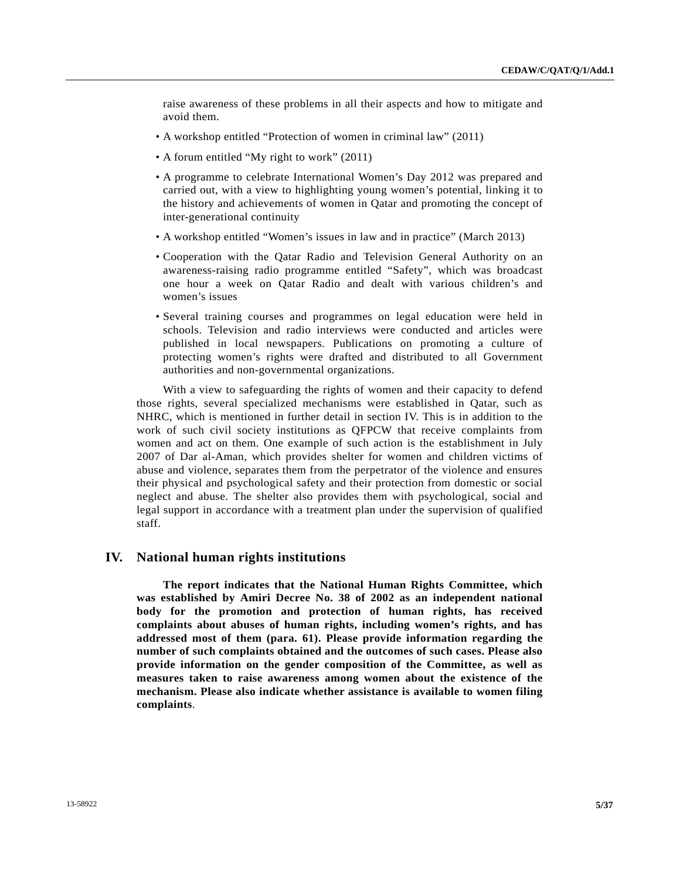raise awareness of these problems in all their aspects and how to mitigate and avoid them.

- A workshop entitled "Protection of women in criminal law" (2011)
- A forum entitled "My right to work" (2011)
- A programme to celebrate International Women's Day 2012 was prepared and carried out, with a view to highlighting young women's potential, linking it to the history and achievements of women in Qatar and promoting the concept of inter-generational continuity
- A workshop entitled "Women's issues in law and in practice" (March 2013)
- Cooperation with the Qatar Radio and Television General Authority on an awareness-raising radio programme entitled "Safety", which was broadcast one hour a week on Qatar Radio and dealt with various children's and women's issues
- Several training courses and programmes on legal education were held in schools. Television and radio interviews were conducted and articles were published in local newspapers. Publications on promoting a culture of protecting women's rights were drafted and distributed to all Government authorities and non-governmental organizations.

 With a view to safeguarding the rights of women and their capacity to defend those rights, several specialized mechanisms were established in Qatar, such as NHRC, which is mentioned in further detail in section IV. This is in addition to the work of such civil society institutions as QFPCW that receive complaints from women and act on them. One example of such action is the establishment in July 2007 of Dar al-Aman, which provides shelter for women and children victims of abuse and violence, separates them from the perpetrator of the violence and ensures their physical and psychological safety and their protection from domestic or social neglect and abuse. The shelter also provides them with psychological, social and legal support in accordance with a treatment plan under the supervision of qualified staff.

## **IV. National human rights institutions**

**The report indicates that the National Human Rights Committee, which was established by Amiri Decree No. 38 of 2002 as an independent national body for the promotion and protection of human rights, has received complaints about abuses of human rights, including women's rights, and has addressed most of them (para. 61). Please provide information regarding the number of such complaints obtained and the outcomes of such cases. Please also provide information on the gender composition of the Committee, as well as measures taken to raise awareness among women about the existence of the mechanism. Please also indicate whether assistance is available to women filing complaints**.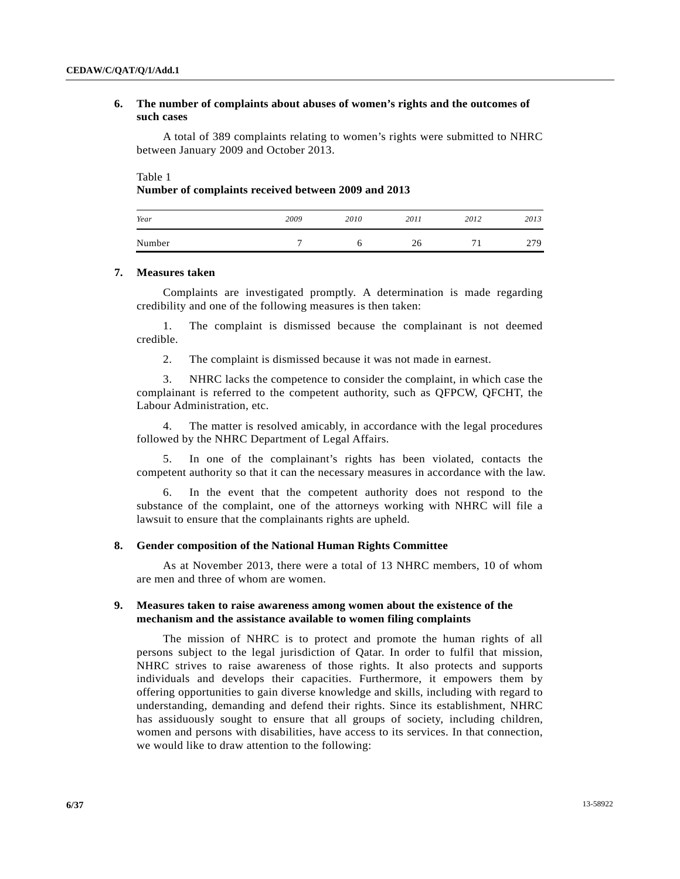# **6. The number of complaints about abuses of women's rights and the outcomes of such cases**

 A total of 389 complaints relating to women's rights were submitted to NHRC between January 2009 and October 2013.

Table 1

#### **Number of complaints received between 2009 and 2013**

| Year   | 2009 | 2010 | 2011 | 2012 | 2013 |
|--------|------|------|------|------|------|
| Number | -    |      | 26   | -    | 279  |

#### **7. Measures taken**

 Complaints are investigated promptly. A determination is made regarding credibility and one of the following measures is then taken:

 1. The complaint is dismissed because the complainant is not deemed credible.

2. The complaint is dismissed because it was not made in earnest.

 3. NHRC lacks the competence to consider the complaint, in which case the complainant is referred to the competent authority, such as QFPCW, QFCHT, the Labour Administration, etc.

 4. The matter is resolved amicably, in accordance with the legal procedures followed by the NHRC Department of Legal Affairs.

 5. In one of the complainant's rights has been violated, contacts the competent authority so that it can the necessary measures in accordance with the law.

 6. In the event that the competent authority does not respond to the substance of the complaint, one of the attorneys working with NHRC will file a lawsuit to ensure that the complainants rights are upheld.

#### **8. Gender composition of the National Human Rights Committee**

 As at November 2013, there were a total of 13 NHRC members, 10 of whom are men and three of whom are women.

### **9. Measures taken to raise awareness among women about the existence of the mechanism and the assistance available to women filing complaints**

 The mission of NHRC is to protect and promote the human rights of all persons subject to the legal jurisdiction of Qatar. In order to fulfil that mission, NHRC strives to raise awareness of those rights. It also protects and supports individuals and develops their capacities. Furthermore, it empowers them by offering opportunities to gain diverse knowledge and skills, including with regard to understanding, demanding and defend their rights. Since its establishment, NHRC has assiduously sought to ensure that all groups of society, including children, women and persons with disabilities, have access to its services. In that connection, we would like to draw attention to the following: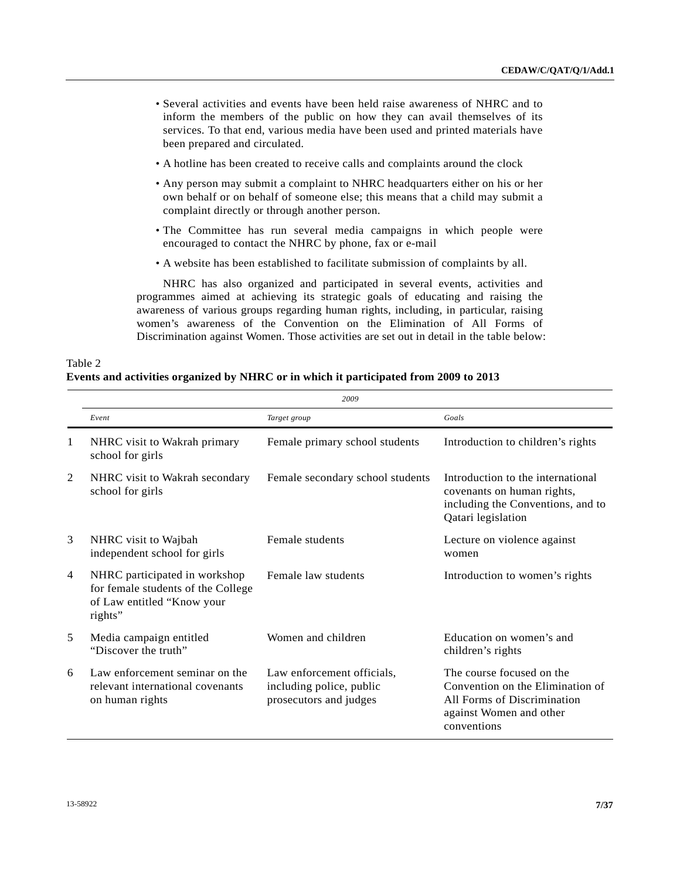- Several activities and events have been held raise awareness of NHRC and to inform the members of the public on how they can avail themselves of its services. To that end, various media have been used and printed materials have been prepared and circulated.
- A hotline has been created to receive calls and complaints around the clock
- Any person may submit a complaint to NHRC headquarters either on his or her own behalf or on behalf of someone else; this means that a child may submit a complaint directly or through another person.
- The Committee has run several media campaigns in which people were encouraged to contact the NHRC by phone, fax or e-mail
- A website has been established to facilitate submission of complaints by all.

 NHRC has also organized and participated in several events, activities and programmes aimed at achieving its strategic goals of educating and raising the awareness of various groups regarding human rights, including, in particular, raising women's awareness of the Convention on the Elimination of All Forms of Discrimination against Women. Those activities are set out in detail in the table below:

| Table 2                                                                               |  |
|---------------------------------------------------------------------------------------|--|
| Events and activities organized by NHRC or in which it participated from 2009 to 2013 |  |

|                | 2009                                                                                                         |                                                                                  |                                                                                                                                        |  |  |
|----------------|--------------------------------------------------------------------------------------------------------------|----------------------------------------------------------------------------------|----------------------------------------------------------------------------------------------------------------------------------------|--|--|
|                | Event                                                                                                        | Target group                                                                     | Goals                                                                                                                                  |  |  |
| 1              | NHRC visit to Wakrah primary<br>school for girls                                                             | Female primary school students                                                   | Introduction to children's rights                                                                                                      |  |  |
| 2              | NHRC visit to Wakrah secondary<br>school for girls                                                           | Female secondary school students                                                 | Introduction to the international<br>covenants on human rights,<br>including the Conventions, and to<br>Qatari legislation             |  |  |
| 3              | NHRC visit to Wajbah<br>independent school for girls                                                         | Female students                                                                  | Lecture on violence against<br>women                                                                                                   |  |  |
| $\overline{4}$ | NHRC participated in workshop<br>for female students of the College<br>of Law entitled "Know your<br>rights" | Female law students                                                              | Introduction to women's rights                                                                                                         |  |  |
| 5              | Media campaign entitled<br>"Discover the truth"                                                              | Women and children                                                               | Education on women's and<br>children's rights                                                                                          |  |  |
| 6              | Law enforcement seminar on the<br>relevant international covenants<br>on human rights                        | Law enforcement officials,<br>including police, public<br>prosecutors and judges | The course focused on the<br>Convention on the Elimination of<br>All Forms of Discrimination<br>against Women and other<br>conventions |  |  |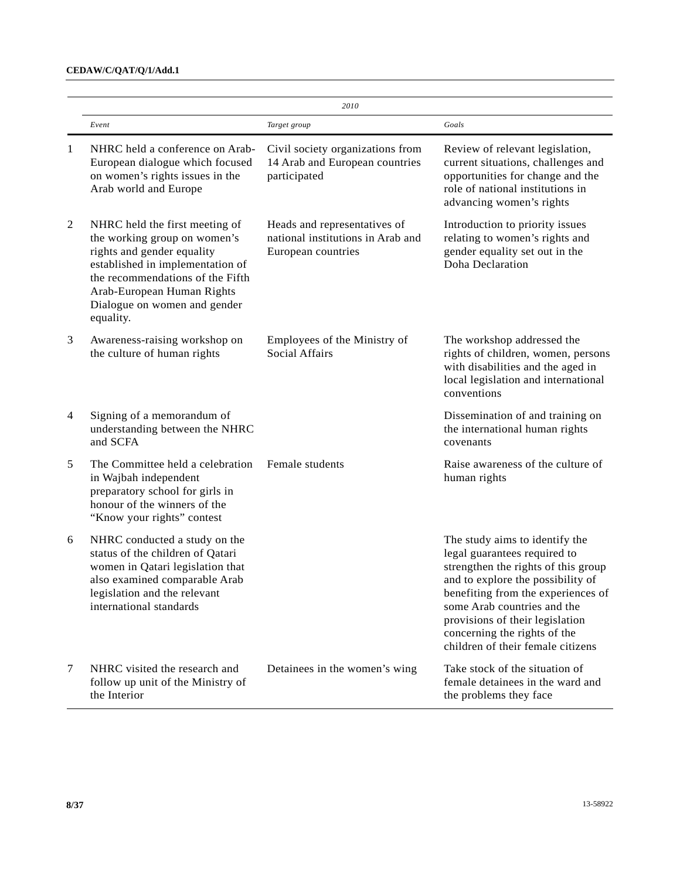# **CEDAW/C/QAT/Q/1/Add.1**

|                |                                                                                                                                                                                                                                                 | 2010                                                                                    |                                                                                                                                                                                                                                                                                                                         |  |  |
|----------------|-------------------------------------------------------------------------------------------------------------------------------------------------------------------------------------------------------------------------------------------------|-----------------------------------------------------------------------------------------|-------------------------------------------------------------------------------------------------------------------------------------------------------------------------------------------------------------------------------------------------------------------------------------------------------------------------|--|--|
|                | Event                                                                                                                                                                                                                                           | Target group                                                                            | Goals                                                                                                                                                                                                                                                                                                                   |  |  |
| 1              | NHRC held a conference on Arab-<br>European dialogue which focused<br>on women's rights issues in the<br>Arab world and Europe                                                                                                                  | Civil society organizations from<br>14 Arab and European countries<br>participated      | Review of relevant legislation,<br>current situations, challenges and<br>opportunities for change and the<br>role of national institutions in<br>advancing women's rights                                                                                                                                               |  |  |
| $\overline{2}$ | NHRC held the first meeting of<br>the working group on women's<br>rights and gender equality<br>established in implementation of<br>the recommendations of the Fifth<br>Arab-European Human Rights<br>Dialogue on women and gender<br>equality. | Heads and representatives of<br>national institutions in Arab and<br>European countries | Introduction to priority issues<br>relating to women's rights and<br>gender equality set out in the<br>Doha Declaration                                                                                                                                                                                                 |  |  |
| 3              | Awareness-raising workshop on<br>the culture of human rights                                                                                                                                                                                    | Employees of the Ministry of<br><b>Social Affairs</b>                                   | The workshop addressed the<br>rights of children, women, persons<br>with disabilities and the aged in<br>local legislation and international<br>conventions                                                                                                                                                             |  |  |
| $\overline{4}$ | Signing of a memorandum of<br>understanding between the NHRC<br>and SCFA                                                                                                                                                                        |                                                                                         | Dissemination of and training on<br>the international human rights<br>covenants                                                                                                                                                                                                                                         |  |  |
| 5              | The Committee held a celebration<br>in Wajbah independent<br>preparatory school for girls in<br>honour of the winners of the<br>"Know your rights" contest                                                                                      | Female students                                                                         | Raise awareness of the culture of<br>human rights                                                                                                                                                                                                                                                                       |  |  |
| 6              | NHRC conducted a study on the<br>status of the children of Qatari<br>women in Qatari legislation that<br>also examined comparable Arab<br>legislation and the relevant<br>international standards                                               |                                                                                         | The study aims to identify the<br>legal guarantees required to<br>strengthen the rights of this group<br>and to explore the possibility of<br>benefiting from the experiences of<br>some Arab countries and the<br>provisions of their legislation<br>concerning the rights of the<br>children of their female citizens |  |  |
| 7              | NHRC visited the research and<br>follow up unit of the Ministry of<br>the Interior                                                                                                                                                              | Detainees in the women's wing                                                           | Take stock of the situation of<br>female detainees in the ward and<br>the problems they face                                                                                                                                                                                                                            |  |  |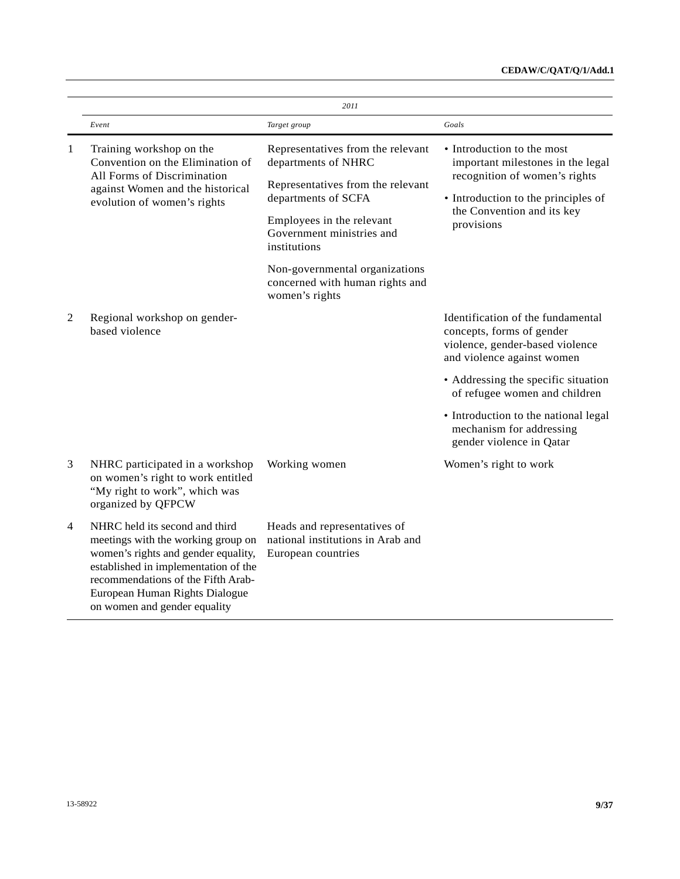|                |                                                                                                                                                                                                                                                             | 2011                                                                                                                                                                                                                                                                                  |                                                                                                                                                                                     |
|----------------|-------------------------------------------------------------------------------------------------------------------------------------------------------------------------------------------------------------------------------------------------------------|---------------------------------------------------------------------------------------------------------------------------------------------------------------------------------------------------------------------------------------------------------------------------------------|-------------------------------------------------------------------------------------------------------------------------------------------------------------------------------------|
|                | Event                                                                                                                                                                                                                                                       | Target group                                                                                                                                                                                                                                                                          | Goals                                                                                                                                                                               |
| 1              | Training workshop on the<br>Convention on the Elimination of<br>All Forms of Discrimination<br>against Women and the historical<br>evolution of women's rights                                                                                              | Representatives from the relevant<br>departments of NHRC<br>Representatives from the relevant<br>departments of SCFA<br>Employees in the relevant<br>Government ministries and<br>institutions<br>Non-governmental organizations<br>concerned with human rights and<br>women's rights | • Introduction to the most<br>important milestones in the legal<br>recognition of women's rights<br>• Introduction to the principles of<br>the Convention and its key<br>provisions |
| $\overline{2}$ | Regional workshop on gender-<br>based violence                                                                                                                                                                                                              |                                                                                                                                                                                                                                                                                       | Identification of the fundamental<br>concepts, forms of gender<br>violence, gender-based violence<br>and violence against women                                                     |
|                |                                                                                                                                                                                                                                                             |                                                                                                                                                                                                                                                                                       | • Addressing the specific situation<br>of refugee women and children                                                                                                                |
|                |                                                                                                                                                                                                                                                             |                                                                                                                                                                                                                                                                                       | • Introduction to the national legal<br>mechanism for addressing<br>gender violence in Qatar                                                                                        |
| 3              | NHRC participated in a workshop<br>on women's right to work entitled<br>"My right to work", which was<br>organized by QFPCW                                                                                                                                 | Working women                                                                                                                                                                                                                                                                         | Women's right to work                                                                                                                                                               |
| $\overline{4}$ | NHRC held its second and third<br>meetings with the working group on<br>women's rights and gender equality,<br>established in implementation of the<br>recommendations of the Fifth Arab-<br>European Human Rights Dialogue<br>on women and gender equality | Heads and representatives of<br>national institutions in Arab and<br>European countries                                                                                                                                                                                               |                                                                                                                                                                                     |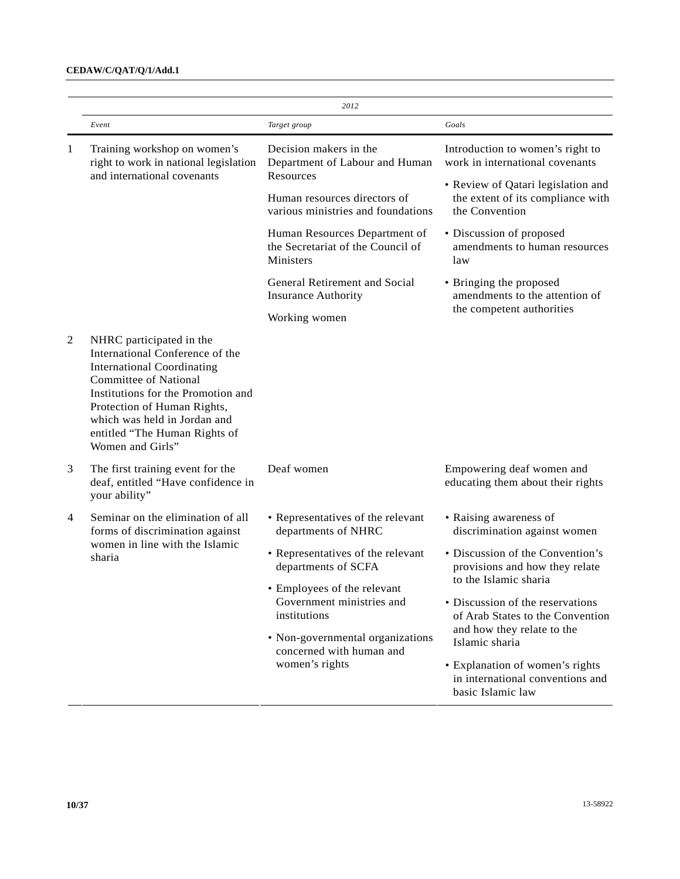# **CEDAW/C/QAT/Q/1/Add.1**

|              | 2012                                                                                                                                                                                                                                                                                       |                                                                                 |                                                                                           |  |  |
|--------------|--------------------------------------------------------------------------------------------------------------------------------------------------------------------------------------------------------------------------------------------------------------------------------------------|---------------------------------------------------------------------------------|-------------------------------------------------------------------------------------------|--|--|
|              | Event                                                                                                                                                                                                                                                                                      | Target group                                                                    | Goals                                                                                     |  |  |
| $\mathbf{1}$ | Training workshop on women's<br>right to work in national legislation                                                                                                                                                                                                                      | Decision makers in the<br>Department of Labour and Human                        | Introduction to women's right to<br>work in international covenants                       |  |  |
|              | and international covenants                                                                                                                                                                                                                                                                | Resources<br>Human resources directors of<br>various ministries and foundations | • Review of Qatari legislation and<br>the extent of its compliance with<br>the Convention |  |  |
|              |                                                                                                                                                                                                                                                                                            | Human Resources Department of<br>the Secretariat of the Council of<br>Ministers | • Discussion of proposed<br>amendments to human resources<br>law                          |  |  |
|              |                                                                                                                                                                                                                                                                                            | General Retirement and Social<br><b>Insurance Authority</b>                     | • Bringing the proposed<br>amendments to the attention of                                 |  |  |
|              |                                                                                                                                                                                                                                                                                            | Working women                                                                   | the competent authorities                                                                 |  |  |
| 2            | NHRC participated in the<br>International Conference of the<br><b>International Coordinating</b><br><b>Committee of National</b><br>Institutions for the Promotion and<br>Protection of Human Rights,<br>which was held in Jordan and<br>entitled "The Human Rights of<br>Women and Girls" |                                                                                 |                                                                                           |  |  |
| 3            | The first training event for the<br>deaf, entitled "Have confidence in<br>your ability"                                                                                                                                                                                                    | Deaf women                                                                      | Empowering deaf women and<br>educating them about their rights                            |  |  |
| 4            | Seminar on the elimination of all<br>forms of discrimination against                                                                                                                                                                                                                       | • Representatives of the relevant<br>departments of NHRC                        | • Raising awareness of<br>discrimination against women                                    |  |  |
|              | women in line with the Islamic<br>sharia                                                                                                                                                                                                                                                   | • Representatives of the relevant<br>departments of SCFA                        | • Discussion of the Convention's<br>provisions and how they relate                        |  |  |
|              |                                                                                                                                                                                                                                                                                            | • Employees of the relevant                                                     | to the Islamic sharia                                                                     |  |  |
|              |                                                                                                                                                                                                                                                                                            | Government ministries and<br>institutions                                       | • Discussion of the reservations<br>of Arab States to the Convention                      |  |  |
|              |                                                                                                                                                                                                                                                                                            | • Non-governmental organizations<br>concerned with human and                    | and how they relate to the<br>Islamic sharia                                              |  |  |
|              |                                                                                                                                                                                                                                                                                            | women's rights                                                                  | • Explanation of women's rights<br>in international conventions and<br>basic Islamic law  |  |  |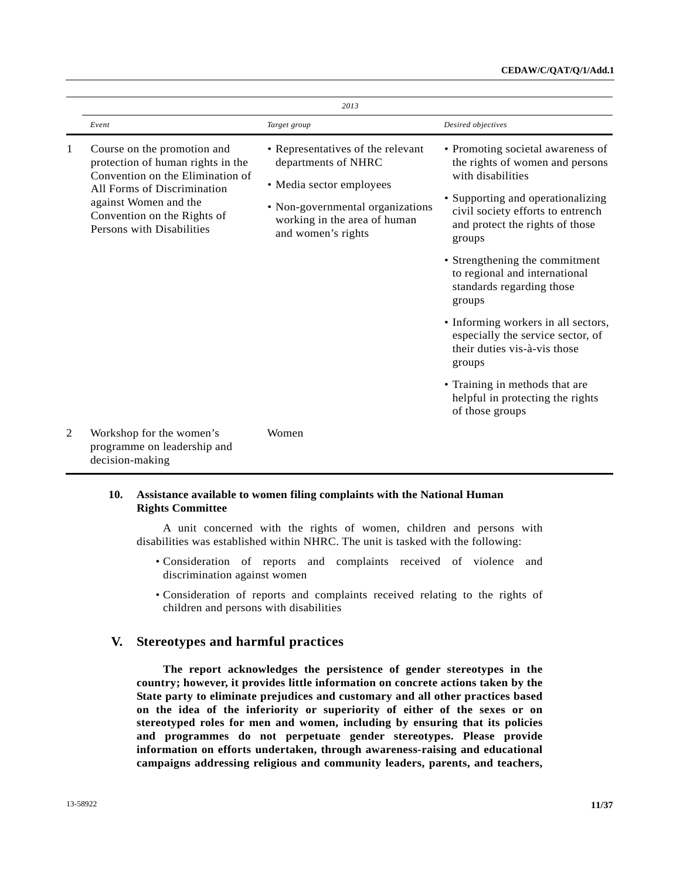|   |                                                                                                                                                                                                                          | 2013                                                                                                                                                                           |                                                                                                                                                                                                                                                                                                                                                                                                                                                                                                                                           |
|---|--------------------------------------------------------------------------------------------------------------------------------------------------------------------------------------------------------------------------|--------------------------------------------------------------------------------------------------------------------------------------------------------------------------------|-------------------------------------------------------------------------------------------------------------------------------------------------------------------------------------------------------------------------------------------------------------------------------------------------------------------------------------------------------------------------------------------------------------------------------------------------------------------------------------------------------------------------------------------|
|   | Event                                                                                                                                                                                                                    | Target group                                                                                                                                                                   | Desired objectives                                                                                                                                                                                                                                                                                                                                                                                                                                                                                                                        |
| 1 | Course on the promotion and<br>protection of human rights in the<br>Convention on the Elimination of<br>All Forms of Discrimination<br>against Women and the<br>Convention on the Rights of<br>Persons with Disabilities | • Representatives of the relevant<br>departments of NHRC<br>· Media sector employees<br>• Non-governmental organizations<br>working in the area of human<br>and women's rights | • Promoting societal awareness of<br>the rights of women and persons<br>with disabilities<br>• Supporting and operationalizing<br>civil society efforts to entrench<br>and protect the rights of those<br>groups<br>• Strengthening the commitment<br>to regional and international<br>standards regarding those<br>groups<br>• Informing workers in all sectors,<br>especially the service sector, of<br>their duties vis-à-vis those<br>groups<br>• Training in methods that are<br>helpful in protecting the rights<br>of those groups |
| 2 | Workshop for the women's<br>programme on leadership and<br>decision-making                                                                                                                                               | Women                                                                                                                                                                          |                                                                                                                                                                                                                                                                                                                                                                                                                                                                                                                                           |

## **10. Assistance available to women filing complaints with the National Human Rights Committee**

 A unit concerned with the rights of women, children and persons with disabilities was established within NHRC. The unit is tasked with the following:

- Consideration of reports and complaints received of violence and discrimination against women
- Consideration of reports and complaints received relating to the rights of children and persons with disabilities

# **V. Stereotypes and harmful practices**

 **The report acknowledges the persistence of gender stereotypes in the country; however, it provides little information on concrete actions taken by the State party to eliminate prejudices and customary and all other practices based on the idea of the inferiority or superiority of either of the sexes or on stereotyped roles for men and women, including by ensuring that its policies and programmes do not perpetuate gender stereotypes. Please provide information on efforts undertaken, through awareness-raising and educational campaigns addressing religious and community leaders, parents, and teachers,**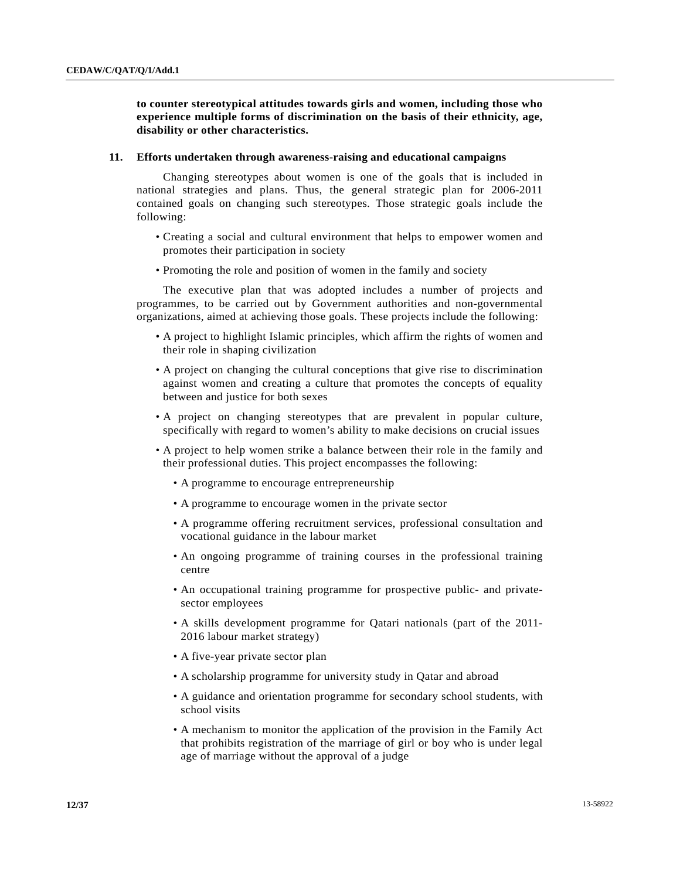**to counter stereotypical attitudes towards girls and women, including those who experience multiple forms of discrimination on the basis of their ethnicity, age, disability or other characteristics.** 

#### **11. Efforts undertaken through awareness-raising and educational campaigns**

 Changing stereotypes about women is one of the goals that is included in national strategies and plans. Thus, the general strategic plan for 2006-2011 contained goals on changing such stereotypes. Those strategic goals include the following:

- Creating a social and cultural environment that helps to empower women and promotes their participation in society
- Promoting the role and position of women in the family and society

 The executive plan that was adopted includes a number of projects and programmes, to be carried out by Government authorities and non-governmental organizations, aimed at achieving those goals. These projects include the following:

- A project to highlight Islamic principles, which affirm the rights of women and their role in shaping civilization
- A project on changing the cultural conceptions that give rise to discrimination against women and creating a culture that promotes the concepts of equality between and justice for both sexes
- A project on changing stereotypes that are prevalent in popular culture, specifically with regard to women's ability to make decisions on crucial issues
- A project to help women strike a balance between their role in the family and their professional duties. This project encompasses the following:
	- A programme to encourage entrepreneurship
	- A programme to encourage women in the private sector
	- A programme offering recruitment services, professional consultation and vocational guidance in the labour market
	- An ongoing programme of training courses in the professional training centre
	- An occupational training programme for prospective public- and privatesector employees
	- A skills development programme for Qatari nationals (part of the 2011- 2016 labour market strategy)
	- A five-year private sector plan
	- A scholarship programme for university study in Qatar and abroad
	- A guidance and orientation programme for secondary school students, with school visits
	- A mechanism to monitor the application of the provision in the Family Act that prohibits registration of the marriage of girl or boy who is under legal age of marriage without the approval of a judge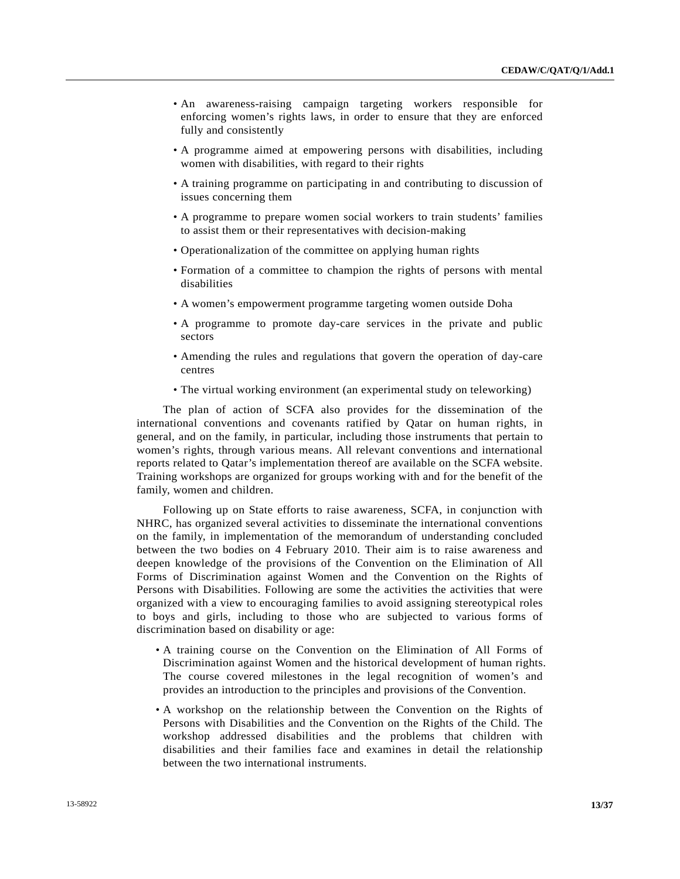- An awareness-raising campaign targeting workers responsible for enforcing women's rights laws, in order to ensure that they are enforced fully and consistently
- A programme aimed at empowering persons with disabilities, including women with disabilities, with regard to their rights
- A training programme on participating in and contributing to discussion of issues concerning them
- A programme to prepare women social workers to train students' families to assist them or their representatives with decision-making
- Operationalization of the committee on applying human rights
- Formation of a committee to champion the rights of persons with mental disabilities
- A women's empowerment programme targeting women outside Doha
- A programme to promote day-care services in the private and public sectors
- Amending the rules and regulations that govern the operation of day-care centres
- The virtual working environment (an experimental study on teleworking)

 The plan of action of SCFA also provides for the dissemination of the international conventions and covenants ratified by Qatar on human rights, in general, and on the family, in particular, including those instruments that pertain to women's rights, through various means. All relevant conventions and international reports related to Qatar's implementation thereof are available on the SCFA website. Training workshops are organized for groups working with and for the benefit of the family, women and children.

 Following up on State efforts to raise awareness, SCFA, in conjunction with NHRC, has organized several activities to disseminate the international conventions on the family, in implementation of the memorandum of understanding concluded between the two bodies on 4 February 2010. Their aim is to raise awareness and deepen knowledge of the provisions of the Convention on the Elimination of All Forms of Discrimination against Women and the Convention on the Rights of Persons with Disabilities. Following are some the activities the activities that were organized with a view to encouraging families to avoid assigning stereotypical roles to boys and girls, including to those who are subjected to various forms of discrimination based on disability or age:

- A training course on the Convention on the Elimination of All Forms of Discrimination against Women and the historical development of human rights. The course covered milestones in the legal recognition of women's and provides an introduction to the principles and provisions of the Convention.
- A workshop on the relationship between the Convention on the Rights of Persons with Disabilities and the Convention on the Rights of the Child. The workshop addressed disabilities and the problems that children with disabilities and their families face and examines in detail the relationship between the two international instruments.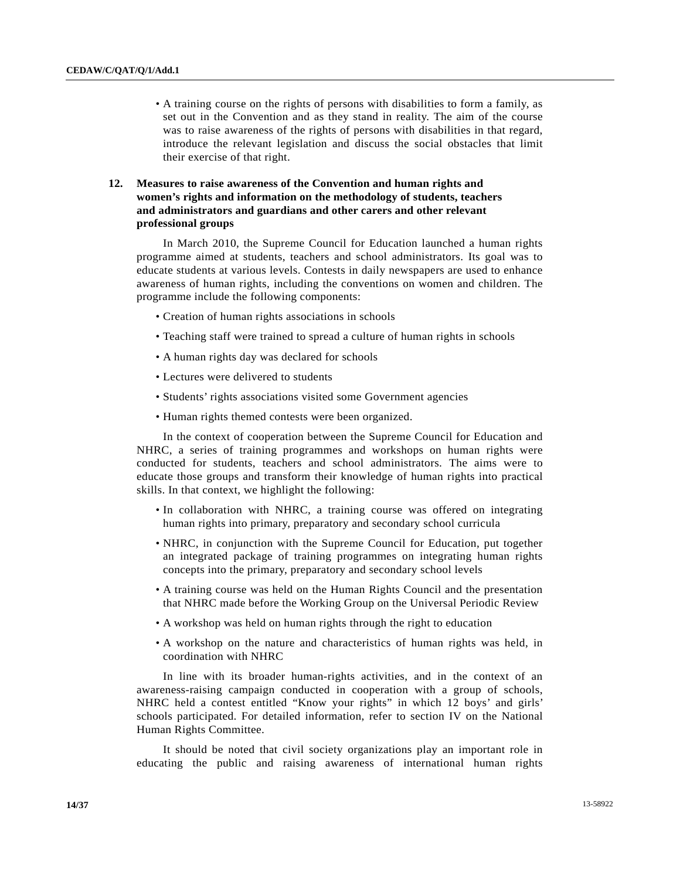• A training course on the rights of persons with disabilities to form a family, as set out in the Convention and as they stand in reality. The aim of the course was to raise awareness of the rights of persons with disabilities in that regard, introduce the relevant legislation and discuss the social obstacles that limit their exercise of that right.

# **12. Measures to raise awareness of the Convention and human rights and women's rights and information on the methodology of students, teachers and administrators and guardians and other carers and other relevant professional groups**

 In March 2010, the Supreme Council for Education launched a human rights programme aimed at students, teachers and school administrators. Its goal was to educate students at various levels. Contests in daily newspapers are used to enhance awareness of human rights, including the conventions on women and children. The programme include the following components:

- Creation of human rights associations in schools
- Teaching staff were trained to spread a culture of human rights in schools
- A human rights day was declared for schools
- Lectures were delivered to students
- Students' rights associations visited some Government agencies
- Human rights themed contests were been organized.

 In the context of cooperation between the Supreme Council for Education and NHRC, a series of training programmes and workshops on human rights were conducted for students, teachers and school administrators. The aims were to educate those groups and transform their knowledge of human rights into practical skills. In that context, we highlight the following:

- In collaboration with NHRC, a training course was offered on integrating human rights into primary, preparatory and secondary school curricula
- NHRC, in conjunction with the Supreme Council for Education, put together an integrated package of training programmes on integrating human rights concepts into the primary, preparatory and secondary school levels
- A training course was held on the Human Rights Council and the presentation that NHRC made before the Working Group on the Universal Periodic Review
- A workshop was held on human rights through the right to education
- A workshop on the nature and characteristics of human rights was held, in coordination with NHRC

 In line with its broader human-rights activities, and in the context of an awareness-raising campaign conducted in cooperation with a group of schools, NHRC held a contest entitled "Know your rights" in which 12 boys' and girls' schools participated. For detailed information, refer to section IV on the National Human Rights Committee.

 It should be noted that civil society organizations play an important role in educating the public and raising awareness of international human rights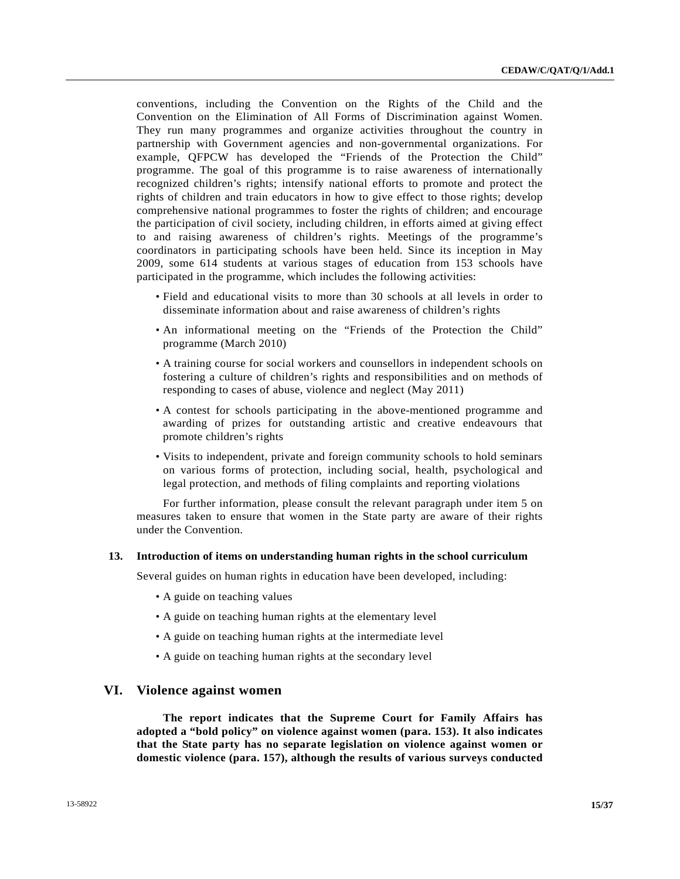conventions, including the Convention on the Rights of the Child and the Convention on the Elimination of All Forms of Discrimination against Women. They run many programmes and organize activities throughout the country in partnership with Government agencies and non-governmental organizations. For example, QFPCW has developed the "Friends of the Protection the Child" programme. The goal of this programme is to raise awareness of internationally recognized children's rights; intensify national efforts to promote and protect the rights of children and train educators in how to give effect to those rights; develop comprehensive national programmes to foster the rights of children; and encourage the participation of civil society, including children, in efforts aimed at giving effect to and raising awareness of children's rights. Meetings of the programme's coordinators in participating schools have been held. Since its inception in May 2009, some 614 students at various stages of education from 153 schools have participated in the programme, which includes the following activities:

- Field and educational visits to more than 30 schools at all levels in order to disseminate information about and raise awareness of children's rights
- An informational meeting on the "Friends of the Protection the Child" programme (March 2010)
- A training course for social workers and counsellors in independent schools on fostering a culture of children's rights and responsibilities and on methods of responding to cases of abuse, violence and neglect (May 2011)
- A contest for schools participating in the above-mentioned programme and awarding of prizes for outstanding artistic and creative endeavours that promote children's rights
- Visits to independent, private and foreign community schools to hold seminars on various forms of protection, including social, health, psychological and legal protection, and methods of filing complaints and reporting violations

 For further information, please consult the relevant paragraph under item 5 on measures taken to ensure that women in the State party are aware of their rights under the Convention.

### **13. Introduction of items on understanding human rights in the school curriculum**

Several guides on human rights in education have been developed, including:

- A guide on teaching values
- A guide on teaching human rights at the elementary level
- A guide on teaching human rights at the intermediate level
- A guide on teaching human rights at the secondary level

#### **VI. Violence against women**

**The report indicates that the Supreme Court for Family Affairs has adopted a "bold policy" on violence against women (para. 153). It also indicates that the State party has no separate legislation on violence against women or domestic violence (para. 157), although the results of various surveys conducted**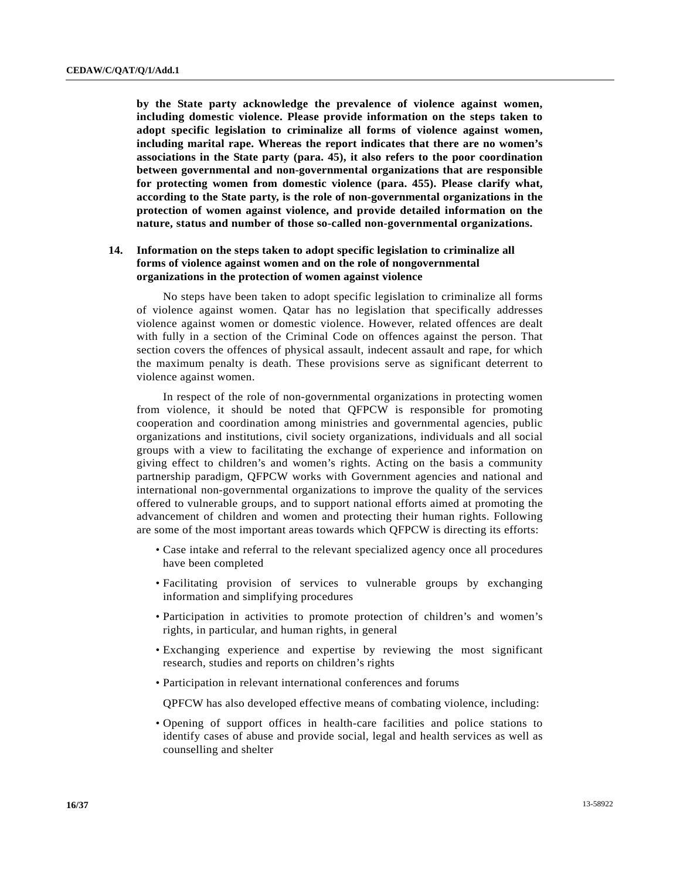**by the State party acknowledge the prevalence of violence against women, including domestic violence. Please provide information on the steps taken to adopt specific legislation to criminalize all forms of violence against women, including marital rape. Whereas the report indicates that there are no women's associations in the State party (para. 45), it also refers to the poor coordination between governmental and non-governmental organizations that are responsible for protecting women from domestic violence (para. 455). Please clarify what, according to the State party, is the role of non-governmental organizations in the protection of women against violence, and provide detailed information on the nature, status and number of those so-called non-governmental organizations.** 

# **14. Information on the steps taken to adopt specific legislation to criminalize all forms of violence against women and on the role of nongovernmental organizations in the protection of women against violence**

 No steps have been taken to adopt specific legislation to criminalize all forms of violence against women. Qatar has no legislation that specifically addresses violence against women or domestic violence. However, related offences are dealt with fully in a section of the Criminal Code on offences against the person. That section covers the offences of physical assault, indecent assault and rape, for which the maximum penalty is death. These provisions serve as significant deterrent to violence against women.

 In respect of the role of non-governmental organizations in protecting women from violence, it should be noted that QFPCW is responsible for promoting cooperation and coordination among ministries and governmental agencies, public organizations and institutions, civil society organizations, individuals and all social groups with a view to facilitating the exchange of experience and information on giving effect to children's and women's rights. Acting on the basis a community partnership paradigm, QFPCW works with Government agencies and national and international non-governmental organizations to improve the quality of the services offered to vulnerable groups, and to support national efforts aimed at promoting the advancement of children and women and protecting their human rights. Following are some of the most important areas towards which QFPCW is directing its efforts:

- Case intake and referral to the relevant specialized agency once all procedures have been completed
- Facilitating provision of services to vulnerable groups by exchanging information and simplifying procedures
- Participation in activities to promote protection of children's and women's rights, in particular, and human rights, in general
- Exchanging experience and expertise by reviewing the most significant research, studies and reports on children's rights
- Participation in relevant international conferences and forums

QPFCW has also developed effective means of combating violence, including:

 • Opening of support offices in health-care facilities and police stations to identify cases of abuse and provide social, legal and health services as well as counselling and shelter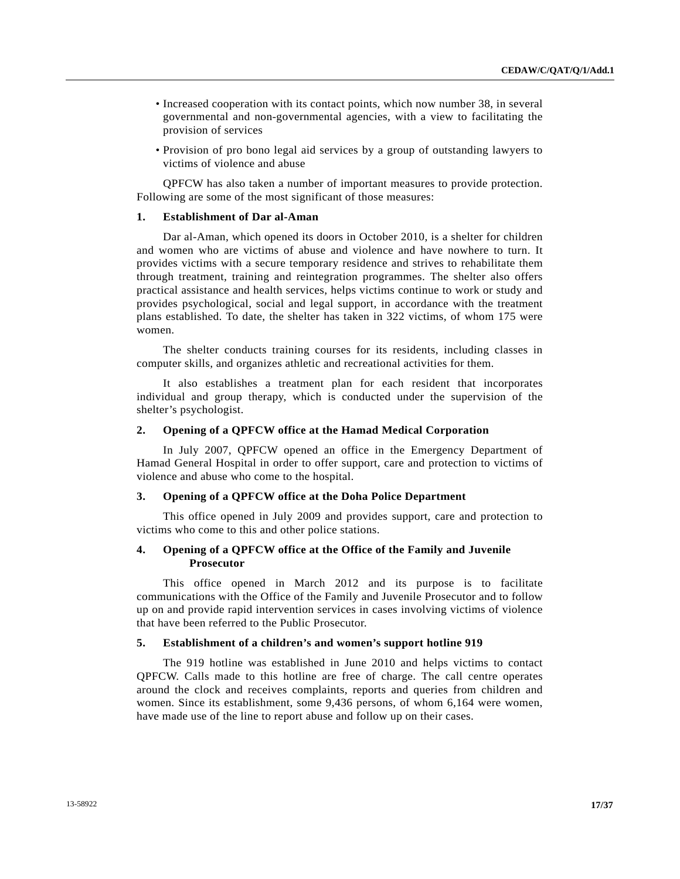- Increased cooperation with its contact points, which now number 38, in several governmental and non-governmental agencies, with a view to facilitating the provision of services
- Provision of pro bono legal aid services by a group of outstanding lawyers to victims of violence and abuse

 QPFCW has also taken a number of important measures to provide protection. Following are some of the most significant of those measures:

### **1. Establishment of Dar al-Aman**

 Dar al-Aman, which opened its doors in October 2010, is a shelter for children and women who are victims of abuse and violence and have nowhere to turn. It provides victims with a secure temporary residence and strives to rehabilitate them through treatment, training and reintegration programmes. The shelter also offers practical assistance and health services, helps victims continue to work or study and provides psychological, social and legal support, in accordance with the treatment plans established. To date, the shelter has taken in 322 victims, of whom 175 were women.

 The shelter conducts training courses for its residents, including classes in computer skills, and organizes athletic and recreational activities for them.

 It also establishes a treatment plan for each resident that incorporates individual and group therapy, which is conducted under the supervision of the shelter's psychologist.

#### **2. Opening of a QPFCW office at the Hamad Medical Corporation**

 In July 2007, QPFCW opened an office in the Emergency Department of Hamad General Hospital in order to offer support, care and protection to victims of violence and abuse who come to the hospital.

#### **3. Opening of a QPFCW office at the Doha Police Department**

 This office opened in July 2009 and provides support, care and protection to victims who come to this and other police stations.

## **4. Opening of a QPFCW office at the Office of the Family and Juvenile Prosecutor**

 This office opened in March 2012 and its purpose is to facilitate communications with the Office of the Family and Juvenile Prosecutor and to follow up on and provide rapid intervention services in cases involving victims of violence that have been referred to the Public Prosecutor.

#### **5. Establishment of a children's and women's support hotline 919**

 The 919 hotline was established in June 2010 and helps victims to contact QPFCW. Calls made to this hotline are free of charge. The call centre operates around the clock and receives complaints, reports and queries from children and women. Since its establishment, some 9,436 persons, of whom 6,164 were women, have made use of the line to report abuse and follow up on their cases.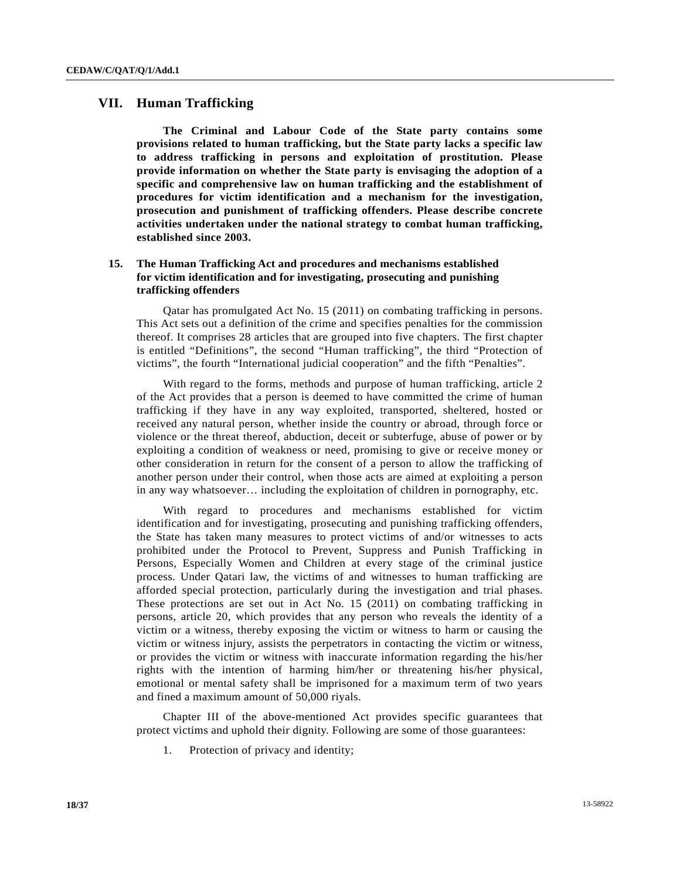# **VII. Human Trafficking**

**The Criminal and Labour Code of the State party contains some provisions related to human trafficking, but the State party lacks a specific law to address trafficking in persons and exploitation of prostitution. Please provide information on whether the State party is envisaging the adoption of a specific and comprehensive law on human trafficking and the establishment of procedures for victim identification and a mechanism for the investigation, prosecution and punishment of trafficking offenders. Please describe concrete activities undertaken under the national strategy to combat human trafficking, established since 2003.** 

# **15. The Human Trafficking Act and procedures and mechanisms established for victim identification and for investigating, prosecuting and punishing trafficking offenders**

 Qatar has promulgated Act No. 15 (2011) on combating trafficking in persons. This Act sets out a definition of the crime and specifies penalties for the commission thereof. It comprises 28 articles that are grouped into five chapters. The first chapter is entitled "Definitions", the second "Human trafficking", the third "Protection of victims", the fourth "International judicial cooperation" and the fifth "Penalties".

 With regard to the forms, methods and purpose of human trafficking, article 2 of the Act provides that a person is deemed to have committed the crime of human trafficking if they have in any way exploited, transported, sheltered, hosted or received any natural person, whether inside the country or abroad, through force or violence or the threat thereof, abduction, deceit or subterfuge, abuse of power or by exploiting a condition of weakness or need, promising to give or receive money or other consideration in return for the consent of a person to allow the trafficking of another person under their control, when those acts are aimed at exploiting a person in any way whatsoever… including the exploitation of children in pornography, etc.

 With regard to procedures and mechanisms established for victim identification and for investigating, prosecuting and punishing trafficking offenders, the State has taken many measures to protect victims of and/or witnesses to acts prohibited under the Protocol to Prevent, Suppress and Punish Trafficking in Persons, Especially Women and Children at every stage of the criminal justice process. Under Qatari law, the victims of and witnesses to human trafficking are afforded special protection, particularly during the investigation and trial phases. These protections are set out in Act No. 15 (2011) on combating trafficking in persons, article 20, which provides that any person who reveals the identity of a victim or a witness, thereby exposing the victim or witness to harm or causing the victim or witness injury, assists the perpetrators in contacting the victim or witness, or provides the victim or witness with inaccurate information regarding the his/her rights with the intention of harming him/her or threatening his/her physical, emotional or mental safety shall be imprisoned for a maximum term of two years and fined a maximum amount of 50,000 riyals.

 Chapter III of the above-mentioned Act provides specific guarantees that protect victims and uphold their dignity. Following are some of those guarantees:

1. Protection of privacy and identity;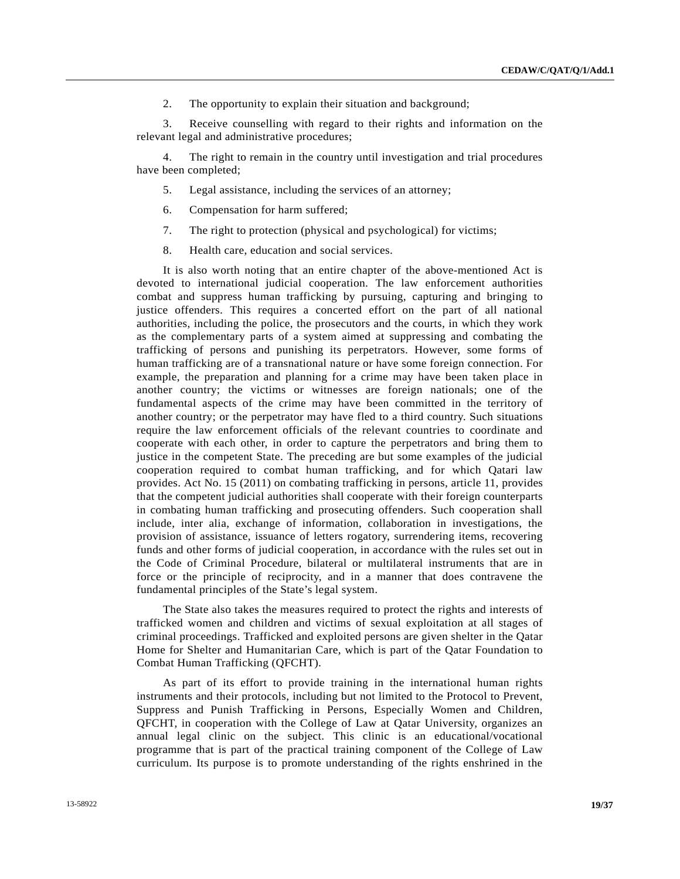2. The opportunity to explain their situation and background;

 3. Receive counselling with regard to their rights and information on the relevant legal and administrative procedures;

 4. The right to remain in the country until investigation and trial procedures have been completed;

- 5. Legal assistance, including the services of an attorney;
- 6. Compensation for harm suffered;
- 7. The right to protection (physical and psychological) for victims;
- 8. Health care, education and social services.

 It is also worth noting that an entire chapter of the above-mentioned Act is devoted to international judicial cooperation. The law enforcement authorities combat and suppress human trafficking by pursuing, capturing and bringing to justice offenders. This requires a concerted effort on the part of all national authorities, including the police, the prosecutors and the courts, in which they work as the complementary parts of a system aimed at suppressing and combating the trafficking of persons and punishing its perpetrators. However, some forms of human trafficking are of a transnational nature or have some foreign connection. For example, the preparation and planning for a crime may have been taken place in another country; the victims or witnesses are foreign nationals; one of the fundamental aspects of the crime may have been committed in the territory of another country; or the perpetrator may have fled to a third country. Such situations require the law enforcement officials of the relevant countries to coordinate and cooperate with each other, in order to capture the perpetrators and bring them to justice in the competent State. The preceding are but some examples of the judicial cooperation required to combat human trafficking, and for which Qatari law provides. Act No. 15 (2011) on combating trafficking in persons, article 11, provides that the competent judicial authorities shall cooperate with their foreign counterparts in combating human trafficking and prosecuting offenders. Such cooperation shall include, inter alia, exchange of information, collaboration in investigations, the provision of assistance, issuance of letters rogatory, surrendering items, recovering funds and other forms of judicial cooperation, in accordance with the rules set out in the Code of Criminal Procedure, bilateral or multilateral instruments that are in force or the principle of reciprocity, and in a manner that does contravene the fundamental principles of the State's legal system.

 The State also takes the measures required to protect the rights and interests of trafficked women and children and victims of sexual exploitation at all stages of criminal proceedings. Trafficked and exploited persons are given shelter in the Qatar Home for Shelter and Humanitarian Care, which is part of the Qatar Foundation to Combat Human Trafficking (QFCHT).

 As part of its effort to provide training in the international human rights instruments and their protocols, including but not limited to the Protocol to Prevent, Suppress and Punish Trafficking in Persons, Especially Women and Children, QFCHT, in cooperation with the College of Law at Qatar University, organizes an annual legal clinic on the subject. This clinic is an educational/vocational programme that is part of the practical training component of the College of Law curriculum. Its purpose is to promote understanding of the rights enshrined in the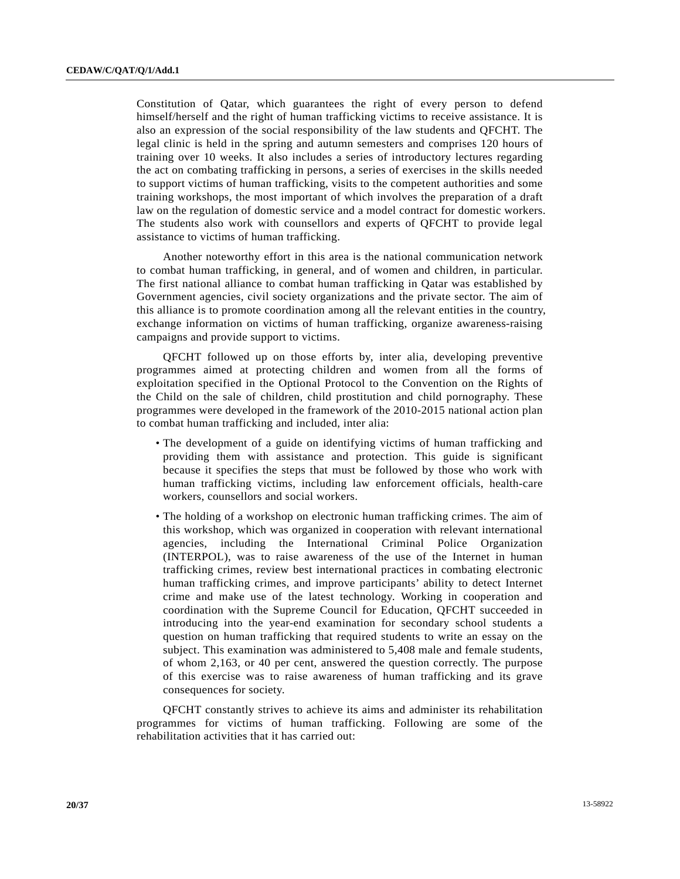Constitution of Qatar, which guarantees the right of every person to defend himself/herself and the right of human trafficking victims to receive assistance. It is also an expression of the social responsibility of the law students and QFCHT. The legal clinic is held in the spring and autumn semesters and comprises 120 hours of training over 10 weeks. It also includes a series of introductory lectures regarding the act on combating trafficking in persons, a series of exercises in the skills needed to support victims of human trafficking, visits to the competent authorities and some training workshops, the most important of which involves the preparation of a draft law on the regulation of domestic service and a model contract for domestic workers. The students also work with counsellors and experts of QFCHT to provide legal assistance to victims of human trafficking.

 Another noteworthy effort in this area is the national communication network to combat human trafficking, in general, and of women and children, in particular. The first national alliance to combat human trafficking in Qatar was established by Government agencies, civil society organizations and the private sector. The aim of this alliance is to promote coordination among all the relevant entities in the country, exchange information on victims of human trafficking, organize awareness-raising campaigns and provide support to victims.

 QFCHT followed up on those efforts by, inter alia, developing preventive programmes aimed at protecting children and women from all the forms of exploitation specified in the Optional Protocol to the Convention on the Rights of the Child on the sale of children, child prostitution and child pornography. These programmes were developed in the framework of the 2010-2015 national action plan to combat human trafficking and included, inter alia:

- The development of a guide on identifying victims of human trafficking and providing them with assistance and protection. This guide is significant because it specifies the steps that must be followed by those who work with human trafficking victims, including law enforcement officials, health-care workers, counsellors and social workers.
- The holding of a workshop on electronic human trafficking crimes. The aim of this workshop, which was organized in cooperation with relevant international agencies, including the International Criminal Police Organization (INTERPOL), was to raise awareness of the use of the Internet in human trafficking crimes, review best international practices in combating electronic human trafficking crimes, and improve participants' ability to detect Internet crime and make use of the latest technology. Working in cooperation and coordination with the Supreme Council for Education, QFCHT succeeded in introducing into the year-end examination for secondary school students a question on human trafficking that required students to write an essay on the subject. This examination was administered to 5,408 male and female students, of whom 2,163, or 40 per cent, answered the question correctly. The purpose of this exercise was to raise awareness of human trafficking and its grave consequences for society.

 QFCHT constantly strives to achieve its aims and administer its rehabilitation programmes for victims of human trafficking. Following are some of the rehabilitation activities that it has carried out: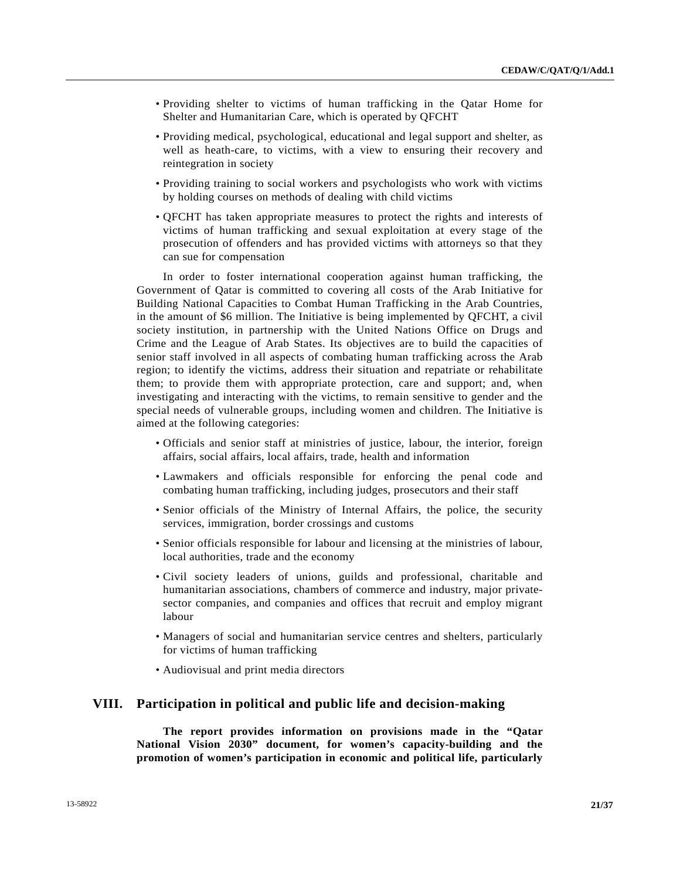- Providing shelter to victims of human trafficking in the Qatar Home for Shelter and Humanitarian Care, which is operated by QFCHT
- Providing medical, psychological, educational and legal support and shelter, as well as heath-care, to victims, with a view to ensuring their recovery and reintegration in society
- Providing training to social workers and psychologists who work with victims by holding courses on methods of dealing with child victims
- QFCHT has taken appropriate measures to protect the rights and interests of victims of human trafficking and sexual exploitation at every stage of the prosecution of offenders and has provided victims with attorneys so that they can sue for compensation

 In order to foster international cooperation against human trafficking, the Government of Qatar is committed to covering all costs of the Arab Initiative for Building National Capacities to Combat Human Trafficking in the Arab Countries, in the amount of \$6 million. The Initiative is being implemented by QFCHT, a civil society institution, in partnership with the United Nations Office on Drugs and Crime and the League of Arab States. Its objectives are to build the capacities of senior staff involved in all aspects of combating human trafficking across the Arab region; to identify the victims, address their situation and repatriate or rehabilitate them; to provide them with appropriate protection, care and support; and, when investigating and interacting with the victims, to remain sensitive to gender and the special needs of vulnerable groups, including women and children. The Initiative is aimed at the following categories:

- Officials and senior staff at ministries of justice, labour, the interior, foreign affairs, social affairs, local affairs, trade, health and information
- Lawmakers and officials responsible for enforcing the penal code and combating human trafficking, including judges, prosecutors and their staff
- Senior officials of the Ministry of Internal Affairs, the police, the security services, immigration, border crossings and customs
- Senior officials responsible for labour and licensing at the ministries of labour, local authorities, trade and the economy
- Civil society leaders of unions, guilds and professional, charitable and humanitarian associations, chambers of commerce and industry, major privatesector companies, and companies and offices that recruit and employ migrant labour
- Managers of social and humanitarian service centres and shelters, particularly for victims of human trafficking
- Audiovisual and print media directors

# **VIII. Participation in political and public life and decision-making**

**The report provides information on provisions made in the "Qatar National Vision 2030" document, for women's capacity-building and the promotion of women's participation in economic and political life, particularly**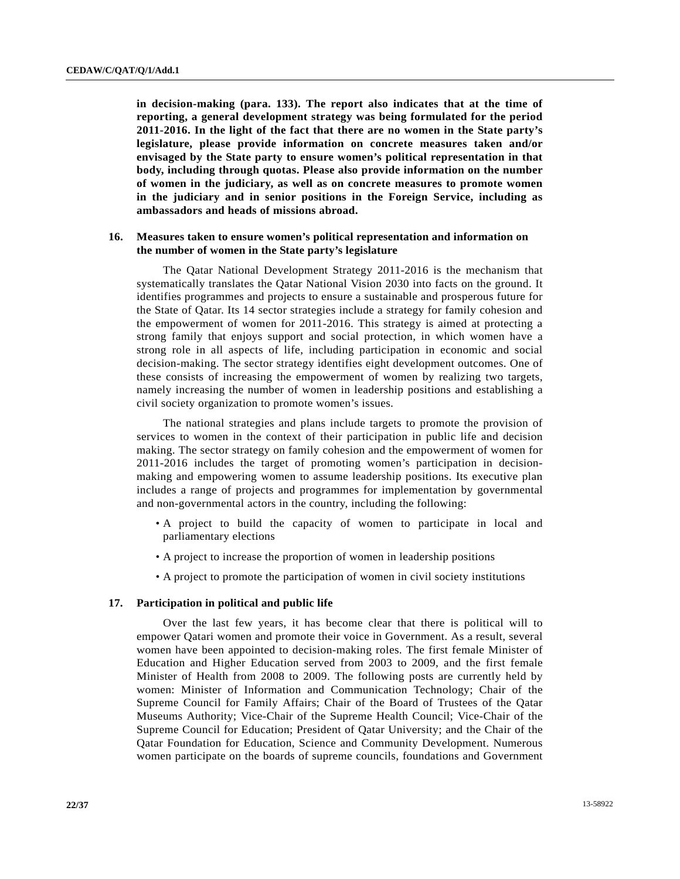**in decision-making (para. 133). The report also indicates that at the time of reporting, a general development strategy was being formulated for the period 2011-2016. In the light of the fact that there are no women in the State party's legislature, please provide information on concrete measures taken and/or envisaged by the State party to ensure women's political representation in that body, including through quotas. Please also provide information on the number of women in the judiciary, as well as on concrete measures to promote women in the judiciary and in senior positions in the Foreign Service, including as ambassadors and heads of missions abroad.** 

## **16. Measures taken to ensure women's political representation and information on the number of women in the State party's legislature**

 The Qatar National Development Strategy 2011-2016 is the mechanism that systematically translates the Qatar National Vision 2030 into facts on the ground. It identifies programmes and projects to ensure a sustainable and prosperous future for the State of Qatar. Its 14 sector strategies include a strategy for family cohesion and the empowerment of women for 2011-2016. This strategy is aimed at protecting a strong family that enjoys support and social protection, in which women have a strong role in all aspects of life, including participation in economic and social decision-making. The sector strategy identifies eight development outcomes. One of these consists of increasing the empowerment of women by realizing two targets, namely increasing the number of women in leadership positions and establishing a civil society organization to promote women's issues.

 The national strategies and plans include targets to promote the provision of services to women in the context of their participation in public life and decision making. The sector strategy on family cohesion and the empowerment of women for 2011-2016 includes the target of promoting women's participation in decisionmaking and empowering women to assume leadership positions. Its executive plan includes a range of projects and programmes for implementation by governmental and non-governmental actors in the country, including the following:

- A project to build the capacity of women to participate in local and parliamentary elections
- A project to increase the proportion of women in leadership positions
- A project to promote the participation of women in civil society institutions

#### **17. Participation in political and public life**

 Over the last few years, it has become clear that there is political will to empower Qatari women and promote their voice in Government. As a result, several women have been appointed to decision-making roles. The first female Minister of Education and Higher Education served from 2003 to 2009, and the first female Minister of Health from 2008 to 2009. The following posts are currently held by women: Minister of Information and Communication Technology; Chair of the Supreme Council for Family Affairs; Chair of the Board of Trustees of the Qatar Museums Authority; Vice-Chair of the Supreme Health Council; Vice-Chair of the Supreme Council for Education; President of Qatar University; and the Chair of the Qatar Foundation for Education, Science and Community Development. Numerous women participate on the boards of supreme councils, foundations and Government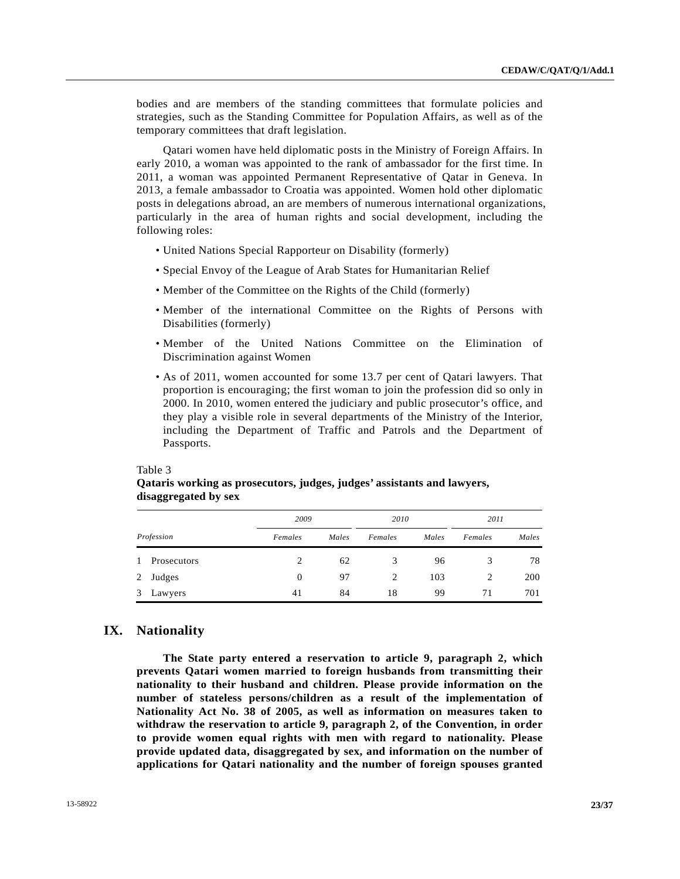bodies and are members of the standing committees that formulate policies and strategies, such as the Standing Committee for Population Affairs, as well as of the temporary committees that draft legislation.

 Qatari women have held diplomatic posts in the Ministry of Foreign Affairs. In early 2010, a woman was appointed to the rank of ambassador for the first time. In 2011, a woman was appointed Permanent Representative of Qatar in Geneva. In 2013, a female ambassador to Croatia was appointed. Women hold other diplomatic posts in delegations abroad, an are members of numerous international organizations, particularly in the area of human rights and social development, including the following roles:

- United Nations Special Rapporteur on Disability (formerly)
- Special Envoy of the League of Arab States for Humanitarian Relief
- Member of the Committee on the Rights of the Child (formerly)
- Member of the international Committee on the Rights of Persons with Disabilities (formerly)
- Member of the United Nations Committee on the Elimination of Discrimination against Women
- As of 2011, women accounted for some 13.7 per cent of Qatari lawyers. That proportion is encouraging; the first woman to join the profession did so only in 2000. In 2010, women entered the judiciary and public prosecutor's office, and they play a visible role in several departments of the Ministry of the Interior, including the Department of Traffic and Patrols and the Department of Passports.

|   | uisaggregateu by sex |          |       |         |       |         |       |  |  |
|---|----------------------|----------|-------|---------|-------|---------|-------|--|--|
|   |                      | 2009     |       |         | 2010  |         | 2011  |  |  |
|   | Profession           | Females  | Males | Females | Males | Females | Males |  |  |
| 1 | Prosecutors          | 2        | 62    | 3       | 96    |         | 78    |  |  |
| 2 | Judges               | $\Omega$ | 97    | 2       | 103   | 2       | 200   |  |  |
| 3 | Lawyers              | 41       | 84    | 18      | 99    | 71      | 701   |  |  |

 **Qataris working as prosecutors, judges, judges' assistants and lawyers,** 

#### **disaggregated by sex**

## **IX. Nationality**

Table 3

**The State party entered a reservation to article 9, paragraph 2, which prevents Qatari women married to foreign husbands from transmitting their nationality to their husband and children. Please provide information on the number of stateless persons/children as a result of the implementation of Nationality Act No. 38 of 2005, as well as information on measures taken to withdraw the reservation to article 9, paragraph 2, of the Convention, in order to provide women equal rights with men with regard to nationality. Please provide updated data, disaggregated by sex, and information on the number of applications for Qatari nationality and the number of foreign spouses granted**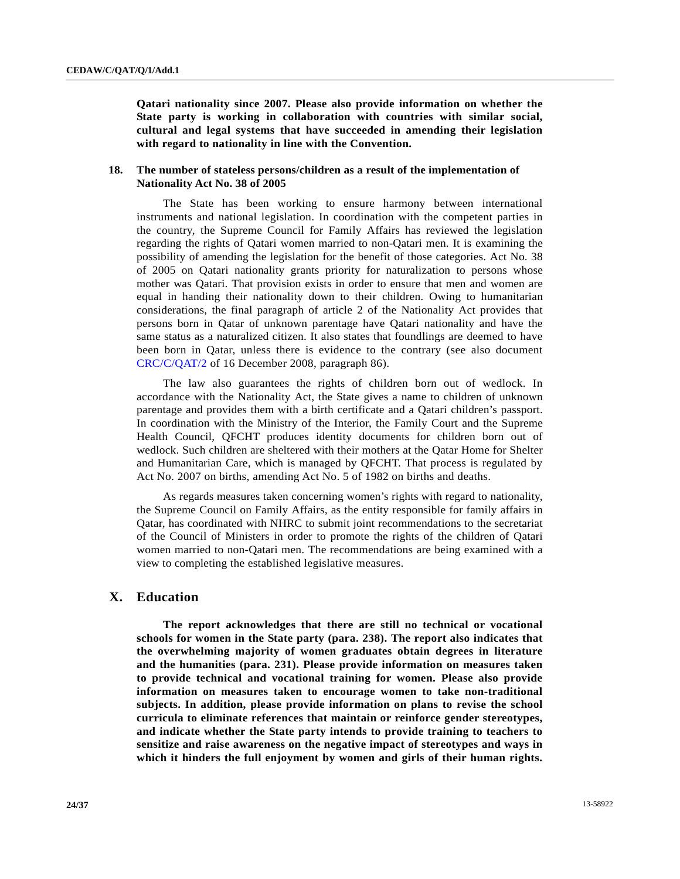**Qatari nationality since 2007. Please also provide information on whether the State party is working in collaboration with countries with similar social, cultural and legal systems that have succeeded in amending their legislation with regard to nationality in line with the Convention.** 

## **18. The number of stateless persons/children as a result of the implementation of Nationality Act No. 38 of 2005**

 The State has been working to ensure harmony between international instruments and national legislation. In coordination with the competent parties in the country, the Supreme Council for Family Affairs has reviewed the legislation regarding the rights of Qatari women married to non-Qatari men. It is examining the possibility of amending the legislation for the benefit of those categories. Act No. 38 of 2005 on Qatari nationality grants priority for naturalization to persons whose mother was Qatari. That provision exists in order to ensure that men and women are equal in handing their nationality down to their children. Owing to humanitarian considerations, the final paragraph of article 2 of the Nationality Act provides that persons born in Qatar of unknown parentage have Qatari nationality and have the same status as a naturalized citizen. It also states that foundlings are deemed to have been born in Qatar, unless there is evidence to the contrary (see also document [CRC/C/QAT/2](http://undocs.org/CRC/C/QAT/2) of 16 December 2008, paragraph 86).

 The law also guarantees the rights of children born out of wedlock. In accordance with the Nationality Act, the State gives a name to children of unknown parentage and provides them with a birth certificate and a Qatari children's passport. In coordination with the Ministry of the Interior, the Family Court and the Supreme Health Council, QFCHT produces identity documents for children born out of wedlock. Such children are sheltered with their mothers at the Qatar Home for Shelter and Humanitarian Care, which is managed by QFCHT. That process is regulated by Act No. 2007 on births, amending Act No. 5 of 1982 on births and deaths.

 As regards measures taken concerning women's rights with regard to nationality, the Supreme Council on Family Affairs, as the entity responsible for family affairs in Qatar, has coordinated with NHRC to submit joint recommendations to the secretariat of the Council of Ministers in order to promote the rights of the children of Qatari women married to non-Qatari men. The recommendations are being examined with a view to completing the established legislative measures.

# **X. Education**

**The report acknowledges that there are still no technical or vocational schools for women in the State party (para. 238). The report also indicates that the overwhelming majority of women graduates obtain degrees in literature and the humanities (para. 231). Please provide information on measures taken to provide technical and vocational training for women. Please also provide information on measures taken to encourage women to take non-traditional subjects. In addition, please provide information on plans to revise the school curricula to eliminate references that maintain or reinforce gender stereotypes, and indicate whether the State party intends to provide training to teachers to sensitize and raise awareness on the negative impact of stereotypes and ways in which it hinders the full enjoyment by women and girls of their human rights.**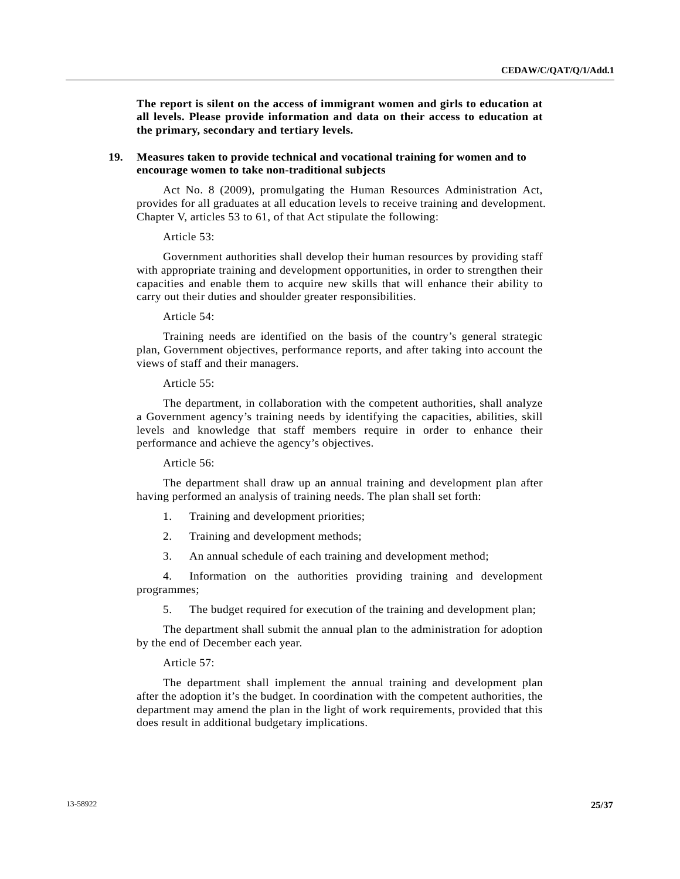**The report is silent on the access of immigrant women and girls to education at all levels. Please provide information and data on their access to education at the primary, secondary and tertiary levels.** 

## **19. Measures taken to provide technical and vocational training for women and to encourage women to take non-traditional subjects**

 Act No. 8 (2009), promulgating the Human Resources Administration Act, provides for all graduates at all education levels to receive training and development. Chapter V, articles 53 to 61, of that Act stipulate the following:

#### Article 53:

 Government authorities shall develop their human resources by providing staff with appropriate training and development opportunities, in order to strengthen their capacities and enable them to acquire new skills that will enhance their ability to carry out their duties and shoulder greater responsibilities.

### Article 54:

 Training needs are identified on the basis of the country's general strategic plan, Government objectives, performance reports, and after taking into account the views of staff and their managers.

### Article 55:

 The department, in collaboration with the competent authorities, shall analyze a Government agency's training needs by identifying the capacities, abilities, skill levels and knowledge that staff members require in order to enhance their performance and achieve the agency's objectives.

### Article 56:

 The department shall draw up an annual training and development plan after having performed an analysis of training needs. The plan shall set forth:

1. Training and development priorities;

2. Training and development methods;

3. An annual schedule of each training and development method;

 4. Information on the authorities providing training and development programmes;

5. The budget required for execution of the training and development plan;

 The department shall submit the annual plan to the administration for adoption by the end of December each year.

## Article 57:

 The department shall implement the annual training and development plan after the adoption it's the budget. In coordination with the competent authorities, the department may amend the plan in the light of work requirements, provided that this does result in additional budgetary implications.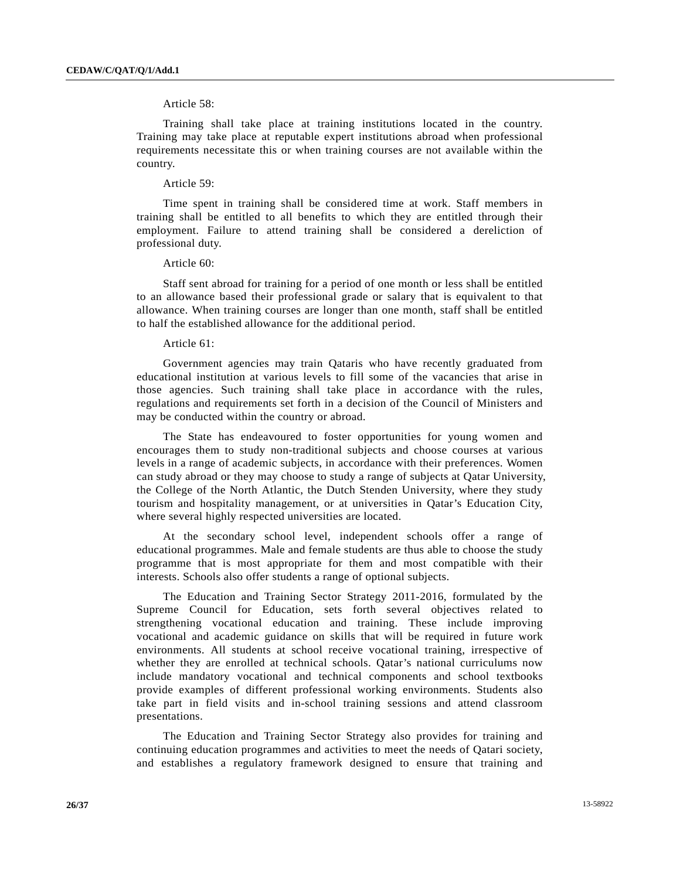### Article 58:

 Training shall take place at training institutions located in the country. Training may take place at reputable expert institutions abroad when professional requirements necessitate this or when training courses are not available within the country.

#### Article 59:

 Time spent in training shall be considered time at work. Staff members in training shall be entitled to all benefits to which they are entitled through their employment. Failure to attend training shall be considered a dereliction of professional duty.

#### Article 60:

 Staff sent abroad for training for a period of one month or less shall be entitled to an allowance based their professional grade or salary that is equivalent to that allowance. When training courses are longer than one month, staff shall be entitled to half the established allowance for the additional period.

#### Article 61:

 Government agencies may train Qataris who have recently graduated from educational institution at various levels to fill some of the vacancies that arise in those agencies. Such training shall take place in accordance with the rules, regulations and requirements set forth in a decision of the Council of Ministers and may be conducted within the country or abroad.

 The State has endeavoured to foster opportunities for young women and encourages them to study non-traditional subjects and choose courses at various levels in a range of academic subjects, in accordance with their preferences. Women can study abroad or they may choose to study a range of subjects at Qatar University, the College of the North Atlantic, the Dutch Stenden University, where they study tourism and hospitality management, or at universities in Qatar's Education City, where several highly respected universities are located.

 At the secondary school level, independent schools offer a range of educational programmes. Male and female students are thus able to choose the study programme that is most appropriate for them and most compatible with their interests. Schools also offer students a range of optional subjects.

 The Education and Training Sector Strategy 2011-2016, formulated by the Supreme Council for Education, sets forth several objectives related to strengthening vocational education and training. These include improving vocational and academic guidance on skills that will be required in future work environments. All students at school receive vocational training, irrespective of whether they are enrolled at technical schools. Qatar's national curriculums now include mandatory vocational and technical components and school textbooks provide examples of different professional working environments. Students also take part in field visits and in-school training sessions and attend classroom presentations.

 The Education and Training Sector Strategy also provides for training and continuing education programmes and activities to meet the needs of Qatari society, and establishes a regulatory framework designed to ensure that training and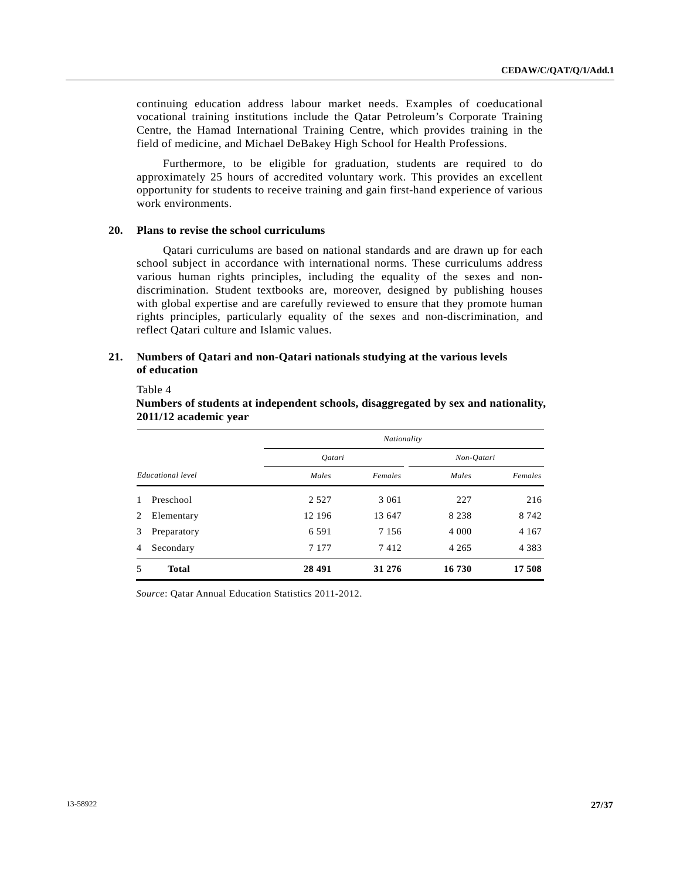continuing education address labour market needs. Examples of coeducational vocational training institutions include the Qatar Petroleum's Corporate Training Centre, the Hamad International Training Centre, which provides training in the field of medicine, and Michael DeBakey High School for Health Professions.

 Furthermore, to be eligible for graduation, students are required to do approximately 25 hours of accredited voluntary work. This provides an excellent opportunity for students to receive training and gain first-hand experience of various work environments.

#### **20. Plans to revise the school curriculums**

 Qatari curriculums are based on national standards and are drawn up for each school subject in accordance with international norms. These curriculums address various human rights principles, including the equality of the sexes and nondiscrimination. Student textbooks are, moreover, designed by publishing houses with global expertise and are carefully reviewed to ensure that they promote human rights principles, particularly equality of the sexes and non-discrimination, and reflect Qatari culture and Islamic values.

## **21. Numbers of Qatari and non-Qatari nationals studying at the various levels of education**

Table 4

|                   |              |               | Nationality |            |         |
|-------------------|--------------|---------------|-------------|------------|---------|
|                   |              | <i>Oatari</i> |             | Non-Qatari |         |
| Educational level |              | Males         | Females     | Males      | Females |
| $\mathbf{1}$      | Preschool    | 2 5 2 7       | 3 0 6 1     | 227        | 216     |
| 2                 | Elementary   | 12 196        | 13 647      | 8 2 3 8    | 8 7 4 2 |
| 3                 | Preparatory  | 6 5 9 1       | 7 1 5 6     | 4 0 0 0    | 4 1 6 7 |
| 4                 | Secondary    | 7 1 7 7       | 7412        | 4 2 6 5    | 4 3 8 3 |
| 5                 | <b>Total</b> | 28 491        | 31 276      | 16 730     | 17 508  |

 **Numbers of students at independent schools, disaggregated by sex and nationality, 2011/12 academic year** 

*Source*: Qatar Annual Education Statistics 2011-2012.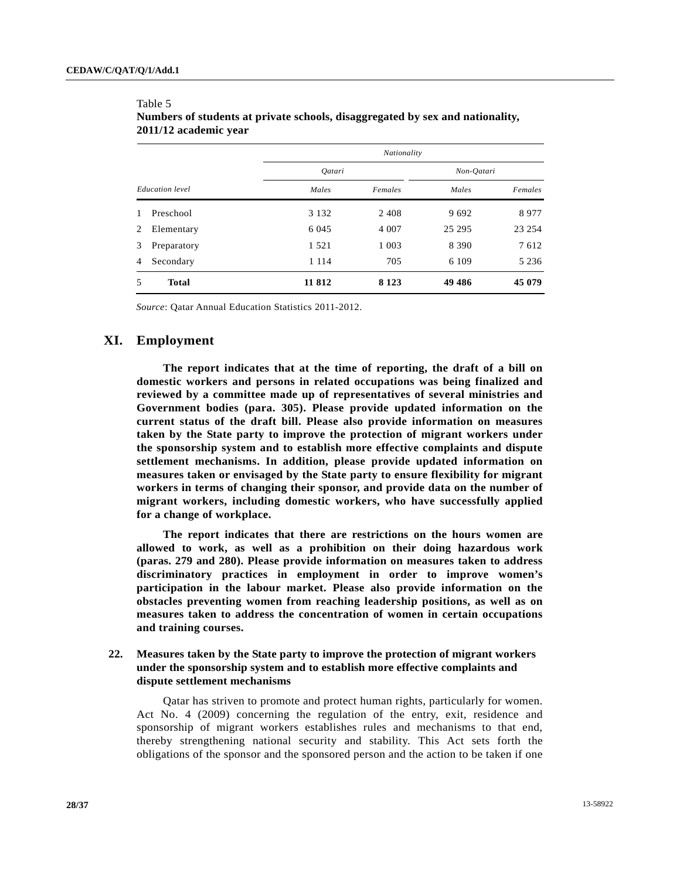Table 5

|                        |              |               | Nationality |            |         |  |
|------------------------|--------------|---------------|-------------|------------|---------|--|
|                        |              | <i>Oatari</i> |             | Non-Oatari |         |  |
| <b>Education</b> level |              | Males         | Females     | Males      | Females |  |
| 1                      | Preschool    | 3 1 3 2       | 2408        | 9692       | 8977    |  |
| 2                      | Elementary   | 6 0 4 5       | 4 0 0 7     | 25 29 5    | 23 254  |  |
| 3                      | Preparatory  | 1 5 2 1       | 1 0 0 3     | 8 3 9 0    | 7612    |  |
| 4                      | Secondary    | 1 1 1 4       | 705         | 6 1 0 9    | 5 2 3 6 |  |
| 5                      | <b>Total</b> | 11 812        | 8 1 2 3     | 49 4 8 6   | 45 079  |  |

# **Numbers of students at private schools, disaggregated by sex and nationality, 2011/12 academic year**

*Source*: Qatar Annual Education Statistics 2011-2012.

# **XI. Employment**

**The report indicates that at the time of reporting, the draft of a bill on domestic workers and persons in related occupations was being finalized and reviewed by a committee made up of representatives of several ministries and Government bodies (para. 305). Please provide updated information on the current status of the draft bill. Please also provide information on measures taken by the State party to improve the protection of migrant workers under the sponsorship system and to establish more effective complaints and dispute settlement mechanisms. In addition, please provide updated information on measures taken or envisaged by the State party to ensure flexibility for migrant workers in terms of changing their sponsor, and provide data on the number of migrant workers, including domestic workers, who have successfully applied for a change of workplace.** 

**The report indicates that there are restrictions on the hours women are allowed to work, as well as a prohibition on their doing hazardous work (paras. 279 and 280). Please provide information on measures taken to address discriminatory practices in employment in order to improve women's participation in the labour market. Please also provide information on the obstacles preventing women from reaching leadership positions, as well as on measures taken to address the concentration of women in certain occupations and training courses.** 

# **22. Measures taken by the State party to improve the protection of migrant workers under the sponsorship system and to establish more effective complaints and dispute settlement mechanisms**

 Qatar has striven to promote and protect human rights, particularly for women. Act No. 4 (2009) concerning the regulation of the entry, exit, residence and sponsorship of migrant workers establishes rules and mechanisms to that end, thereby strengthening national security and stability. This Act sets forth the obligations of the sponsor and the sponsored person and the action to be taken if one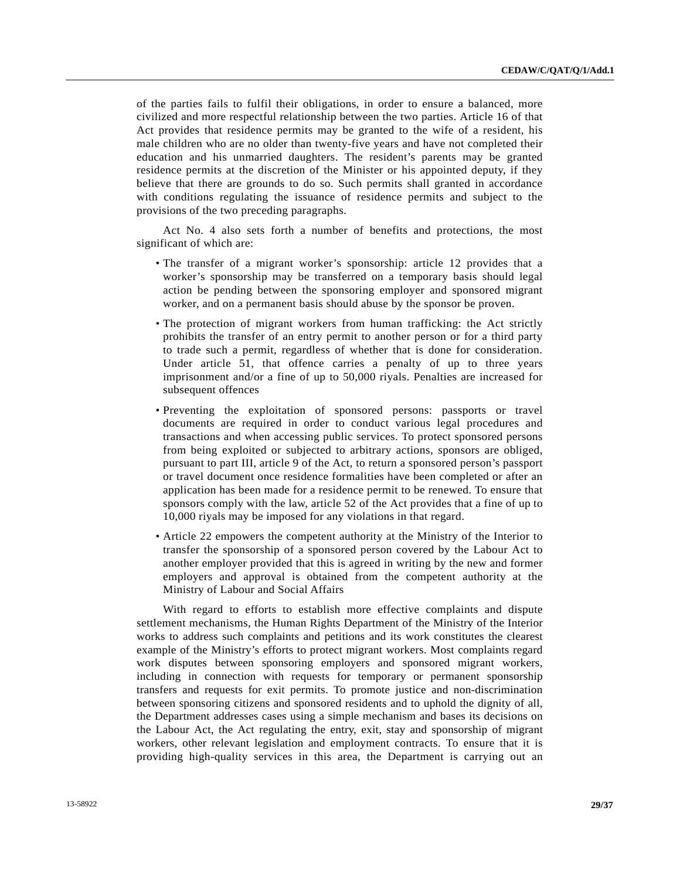of the parties fails to fulfil their obligations, in order to ensure a balanced, more civilized and more respectful relationship between the two parties. Article 16 of that Act provides that residence permits may be granted to the wife of a resident, his male children who are no older than twenty-five years and have not completed their education and his unmarried daughters. The resident's parents may be granted residence permits at the discretion of the Minister or his appointed deputy, if they believe that there are grounds to do so. Such permits shall granted in accordance with conditions regulating the issuance of residence permits and subject to the provisions of the two preceding paragraphs.

 Act No. 4 also sets forth a number of benefits and protections, the most significant of which are:

- The transfer of a migrant worker's sponsorship: article 12 provides that a worker's sponsorship may be transferred on a temporary basis should legal action be pending between the sponsoring employer and sponsored migrant worker, and on a permanent basis should abuse by the sponsor be proven.
- The protection of migrant workers from human trafficking: the Act strictly prohibits the transfer of an entry permit to another person or for a third party to trade such a permit, regardless of whether that is done for consideration. Under article 51, that offence carries a penalty of up to three years imprisonment and/or a fine of up to 50,000 riyals. Penalties are increased for subsequent offences
- Preventing the exploitation of sponsored persons: passports or travel documents are required in order to conduct various legal procedures and transactions and when accessing public services. To protect sponsored persons from being exploited or subjected to arbitrary actions, sponsors are obliged, pursuant to part III, article 9 of the Act, to return a sponsored person's passport or travel document once residence formalities have been completed or after an application has been made for a residence permit to be renewed. To ensure that sponsors comply with the law, article 52 of the Act provides that a fine of up to 10,000 riyals may be imposed for any violations in that regard.
- Article 22 empowers the competent authority at the Ministry of the Interior to transfer the sponsorship of a sponsored person covered by the Labour Act to another employer provided that this is agreed in writing by the new and former employers and approval is obtained from the competent authority at the Ministry of Labour and Social Affairs

 With regard to efforts to establish more effective complaints and dispute settlement mechanisms, the Human Rights Department of the Ministry of the Interior works to address such complaints and petitions and its work constitutes the clearest example of the Ministry's efforts to protect migrant workers. Most complaints regard work disputes between sponsoring employers and sponsored migrant workers, including in connection with requests for temporary or permanent sponsorship transfers and requests for exit permits. To promote justice and non-discrimination between sponsoring citizens and sponsored residents and to uphold the dignity of all, the Department addresses cases using a simple mechanism and bases its decisions on the Labour Act, the Act regulating the entry, exit, stay and sponsorship of migrant workers, other relevant legislation and employment contracts. To ensure that it is providing high-quality services in this area, the Department is carrying out an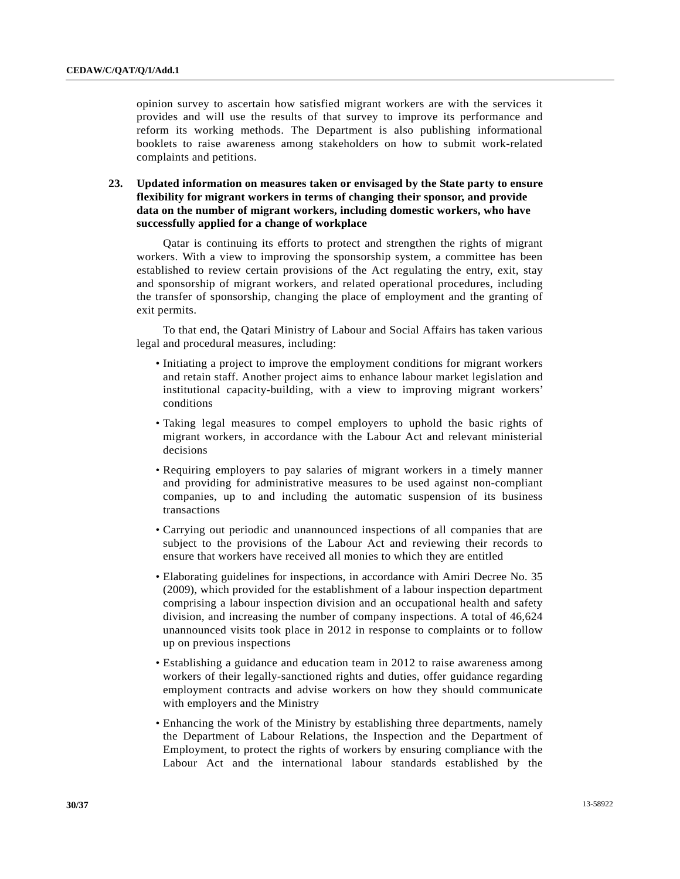opinion survey to ascertain how satisfied migrant workers are with the services it provides and will use the results of that survey to improve its performance and reform its working methods. The Department is also publishing informational booklets to raise awareness among stakeholders on how to submit work-related complaints and petitions.

 **23. Updated information on measures taken or envisaged by the State party to ensure flexibility for migrant workers in terms of changing their sponsor, and provide data on the number of migrant workers, including domestic workers, who have successfully applied for a change of workplace** 

 Qatar is continuing its efforts to protect and strengthen the rights of migrant workers. With a view to improving the sponsorship system, a committee has been established to review certain provisions of the Act regulating the entry, exit, stay and sponsorship of migrant workers, and related operational procedures, including the transfer of sponsorship, changing the place of employment and the granting of exit permits.

 To that end, the Qatari Ministry of Labour and Social Affairs has taken various legal and procedural measures, including:

- Initiating a project to improve the employment conditions for migrant workers and retain staff. Another project aims to enhance labour market legislation and institutional capacity-building, with a view to improving migrant workers' conditions
- Taking legal measures to compel employers to uphold the basic rights of migrant workers, in accordance with the Labour Act and relevant ministerial decisions
- Requiring employers to pay salaries of migrant workers in a timely manner and providing for administrative measures to be used against non-compliant companies, up to and including the automatic suspension of its business transactions
- Carrying out periodic and unannounced inspections of all companies that are subject to the provisions of the Labour Act and reviewing their records to ensure that workers have received all monies to which they are entitled
- Elaborating guidelines for inspections, in accordance with Amiri Decree No. 35 (2009), which provided for the establishment of a labour inspection department comprising a labour inspection division and an occupational health and safety division, and increasing the number of company inspections. A total of 46,624 unannounced visits took place in 2012 in response to complaints or to follow up on previous inspections
- Establishing a guidance and education team in 2012 to raise awareness among workers of their legally-sanctioned rights and duties, offer guidance regarding employment contracts and advise workers on how they should communicate with employers and the Ministry
- Enhancing the work of the Ministry by establishing three departments, namely the Department of Labour Relations, the Inspection and the Department of Employment, to protect the rights of workers by ensuring compliance with the Labour Act and the international labour standards established by the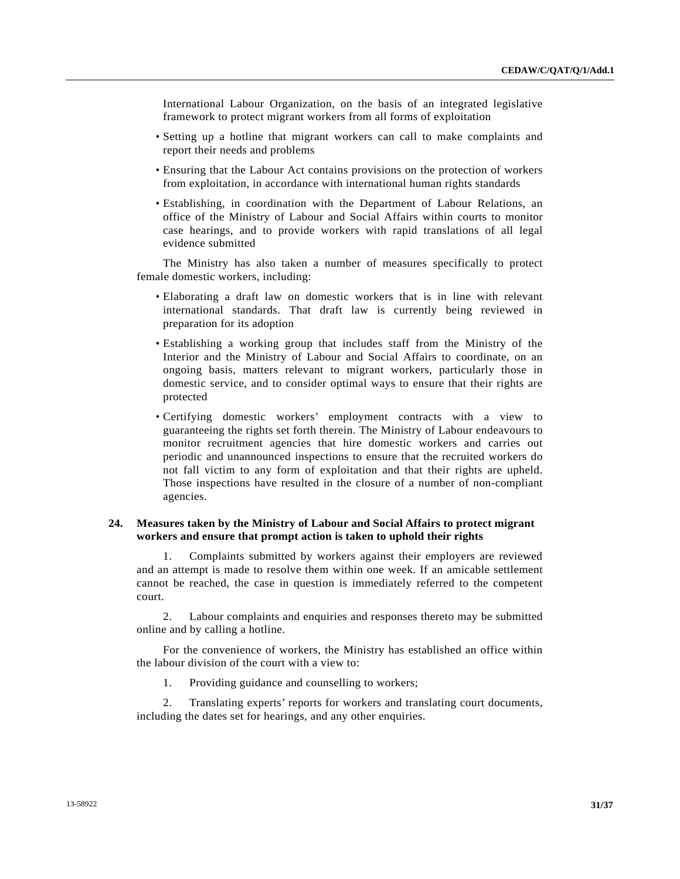International Labour Organization, on the basis of an integrated legislative framework to protect migrant workers from all forms of exploitation

- Setting up a hotline that migrant workers can call to make complaints and report their needs and problems
- Ensuring that the Labour Act contains provisions on the protection of workers from exploitation, in accordance with international human rights standards
- Establishing, in coordination with the Department of Labour Relations, an office of the Ministry of Labour and Social Affairs within courts to monitor case hearings, and to provide workers with rapid translations of all legal evidence submitted

 The Ministry has also taken a number of measures specifically to protect female domestic workers, including:

- Elaborating a draft law on domestic workers that is in line with relevant international standards. That draft law is currently being reviewed in preparation for its adoption
- Establishing a working group that includes staff from the Ministry of the Interior and the Ministry of Labour and Social Affairs to coordinate, on an ongoing basis, matters relevant to migrant workers, particularly those in domestic service, and to consider optimal ways to ensure that their rights are protected
- Certifying domestic workers' employment contracts with a view to guaranteeing the rights set forth therein. The Ministry of Labour endeavours to monitor recruitment agencies that hire domestic workers and carries out periodic and unannounced inspections to ensure that the recruited workers do not fall victim to any form of exploitation and that their rights are upheld. Those inspections have resulted in the closure of a number of non-compliant agencies.

## **24. Measures taken by the Ministry of Labour and Social Affairs to protect migrant workers and ensure that prompt action is taken to uphold their rights**

 1. Complaints submitted by workers against their employers are reviewed and an attempt is made to resolve them within one week. If an amicable settlement cannot be reached, the case in question is immediately referred to the competent court.

 2. Labour complaints and enquiries and responses thereto may be submitted online and by calling a hotline.

 For the convenience of workers, the Ministry has established an office within the labour division of the court with a view to:

1. Providing guidance and counselling to workers;

 2. Translating experts' reports for workers and translating court documents, including the dates set for hearings, and any other enquiries.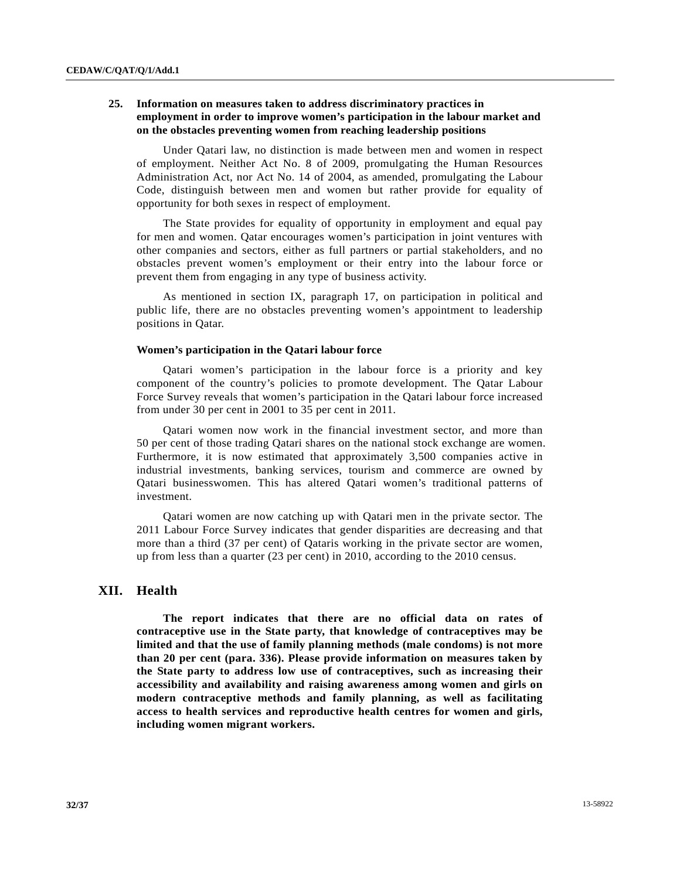# **25. Information on measures taken to address discriminatory practices in employment in order to improve women's participation in the labour market and on the obstacles preventing women from reaching leadership positions**

 Under Qatari law, no distinction is made between men and women in respect of employment. Neither Act No. 8 of 2009, promulgating the Human Resources Administration Act, nor Act No. 14 of 2004, as amended, promulgating the Labour Code, distinguish between men and women but rather provide for equality of opportunity for both sexes in respect of employment.

 The State provides for equality of opportunity in employment and equal pay for men and women. Qatar encourages women's participation in joint ventures with other companies and sectors, either as full partners or partial stakeholders, and no obstacles prevent women's employment or their entry into the labour force or prevent them from engaging in any type of business activity.

 As mentioned in section IX, paragraph 17, on participation in political and public life, there are no obstacles preventing women's appointment to leadership positions in Qatar.

#### **Women's participation in the Qatari labour force**

 Qatari women's participation in the labour force is a priority and key component of the country's policies to promote development. The Qatar Labour Force Survey reveals that women's participation in the Qatari labour force increased from under 30 per cent in 2001 to 35 per cent in 2011.

 Qatari women now work in the financial investment sector, and more than 50 per cent of those trading Qatari shares on the national stock exchange are women. Furthermore, it is now estimated that approximately 3,500 companies active in industrial investments, banking services, tourism and commerce are owned by Qatari businesswomen. This has altered Qatari women's traditional patterns of investment.

 Qatari women are now catching up with Qatari men in the private sector. The 2011 Labour Force Survey indicates that gender disparities are decreasing and that more than a third (37 per cent) of Qataris working in the private sector are women, up from less than a quarter (23 per cent) in 2010, according to the 2010 census.

## **XII. Health**

 **The report indicates that there are no official data on rates of contraceptive use in the State party, that knowledge of contraceptives may be limited and that the use of family planning methods (male condoms) is not more than 20 per cent (para. 336). Please provide information on measures taken by the State party to address low use of contraceptives, such as increasing their accessibility and availability and raising awareness among women and girls on modern contraceptive methods and family planning, as well as facilitating access to health services and reproductive health centres for women and girls, including women migrant workers.**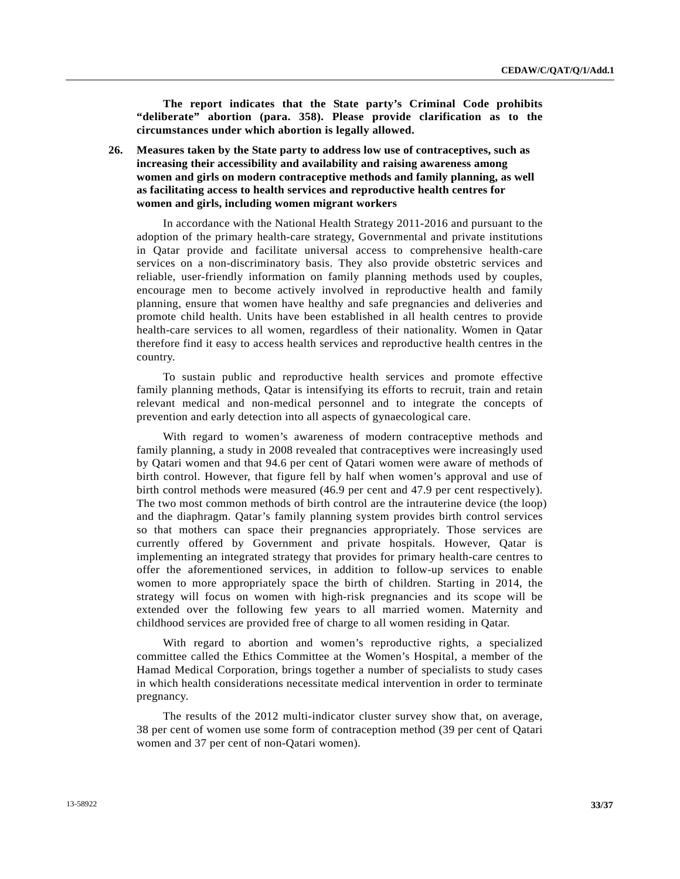**The report indicates that the State party's Criminal Code prohibits "deliberate" abortion (para. 358). Please provide clarification as to the circumstances under which abortion is legally allowed.** 

 **26. Measures taken by the State party to address low use of contraceptives, such as increasing their accessibility and availability and raising awareness among women and girls on modern contraceptive methods and family planning, as well as facilitating access to health services and reproductive health centres for women and girls, including women migrant workers** 

 In accordance with the National Health Strategy 2011-2016 and pursuant to the adoption of the primary health-care strategy, Governmental and private institutions in Qatar provide and facilitate universal access to comprehensive health-care services on a non-discriminatory basis. They also provide obstetric services and reliable, user-friendly information on family planning methods used by couples, encourage men to become actively involved in reproductive health and family planning, ensure that women have healthy and safe pregnancies and deliveries and promote child health. Units have been established in all health centres to provide health-care services to all women, regardless of their nationality. Women in Qatar therefore find it easy to access health services and reproductive health centres in the country.

 To sustain public and reproductive health services and promote effective family planning methods, Qatar is intensifying its efforts to recruit, train and retain relevant medical and non-medical personnel and to integrate the concepts of prevention and early detection into all aspects of gynaecological care.

 With regard to women's awareness of modern contraceptive methods and family planning, a study in 2008 revealed that contraceptives were increasingly used by Qatari women and that 94.6 per cent of Qatari women were aware of methods of birth control. However, that figure fell by half when women's approval and use of birth control methods were measured (46.9 per cent and 47.9 per cent respectively). The two most common methods of birth control are the intrauterine device (the loop) and the diaphragm. Qatar's family planning system provides birth control services so that mothers can space their pregnancies appropriately. Those services are currently offered by Government and private hospitals. However, Qatar is implementing an integrated strategy that provides for primary health-care centres to offer the aforementioned services, in addition to follow-up services to enable women to more appropriately space the birth of children. Starting in 2014, the strategy will focus on women with high-risk pregnancies and its scope will be extended over the following few years to all married women. Maternity and childhood services are provided free of charge to all women residing in Qatar.

 With regard to abortion and women's reproductive rights, a specialized committee called the Ethics Committee at the Women's Hospital, a member of the Hamad Medical Corporation, brings together a number of specialists to study cases in which health considerations necessitate medical intervention in order to terminate pregnancy.

 The results of the 2012 multi-indicator cluster survey show that, on average, 38 per cent of women use some form of contraception method (39 per cent of Qatari women and 37 per cent of non-Qatari women).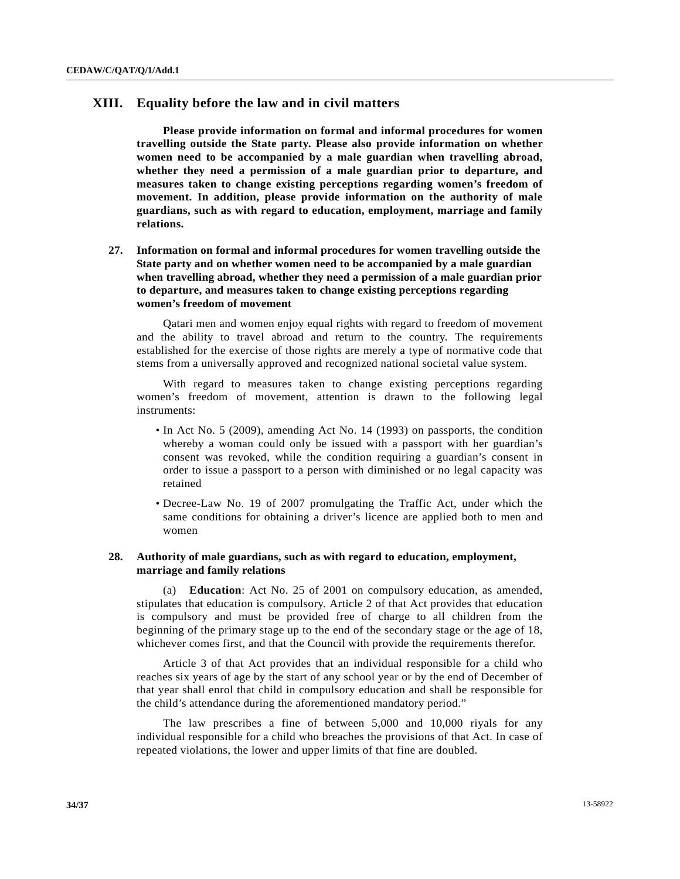# **XIII. Equality before the law and in civil matters**

**Please provide information on formal and informal procedures for women travelling outside the State party. Please also provide information on whether women need to be accompanied by a male guardian when travelling abroad, whether they need a permission of a male guardian prior to departure, and measures taken to change existing perceptions regarding women's freedom of movement. In addition, please provide information on the authority of male guardians, such as with regard to education, employment, marriage and family relations.** 

 **27. Information on formal and informal procedures for women travelling outside the State party and on whether women need to be accompanied by a male guardian when travelling abroad, whether they need a permission of a male guardian prior to departure, and measures taken to change existing perceptions regarding women's freedom of movement** 

 Qatari men and women enjoy equal rights with regard to freedom of movement and the ability to travel abroad and return to the country. The requirements established for the exercise of those rights are merely a type of normative code that stems from a universally approved and recognized national societal value system.

 With regard to measures taken to change existing perceptions regarding women's freedom of movement, attention is drawn to the following legal instruments:

- In Act No. 5 (2009), amending Act No. 14 (1993) on passports, the condition whereby a woman could only be issued with a passport with her guardian's consent was revoked, while the condition requiring a guardian's consent in order to issue a passport to a person with diminished or no legal capacity was retained
- Decree-Law No. 19 of 2007 promulgating the Traffic Act, under which the same conditions for obtaining a driver's licence are applied both to men and women

## **28. Authority of male guardians, such as with regard to education, employment, marriage and family relations**

 (a) **Education**: Act No. 25 of 2001 on compulsory education, as amended, stipulates that education is compulsory. Article 2 of that Act provides that education is compulsory and must be provided free of charge to all children from the beginning of the primary stage up to the end of the secondary stage or the age of 18, whichever comes first, and that the Council with provide the requirements therefor.

 Article 3 of that Act provides that an individual responsible for a child who reaches six years of age by the start of any school year or by the end of December of that year shall enrol that child in compulsory education and shall be responsible for the child's attendance during the aforementioned mandatory period."

 The law prescribes a fine of between 5,000 and 10,000 riyals for any individual responsible for a child who breaches the provisions of that Act. In case of repeated violations, the lower and upper limits of that fine are doubled.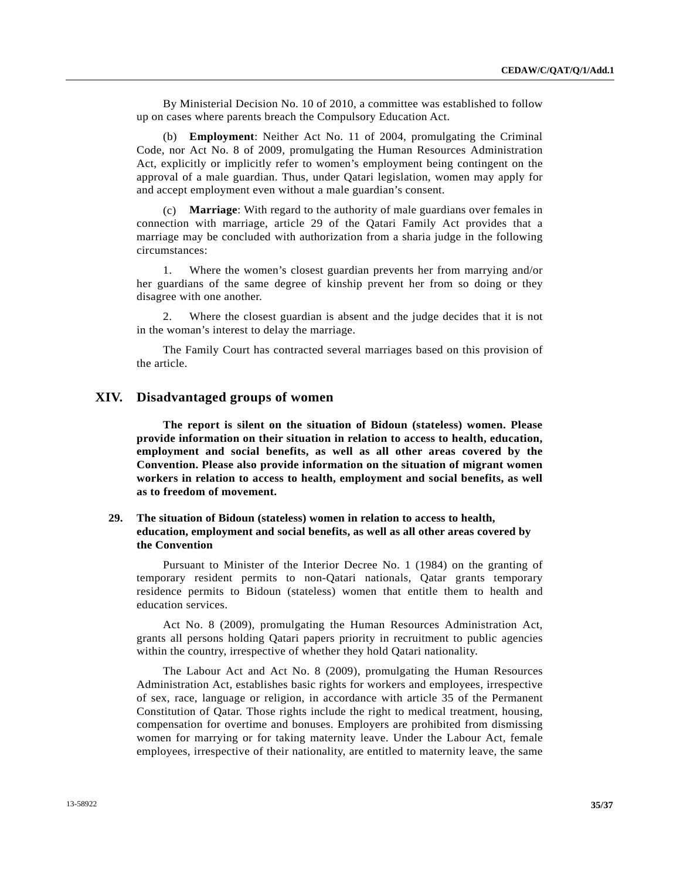By Ministerial Decision No. 10 of 2010, a committee was established to follow up on cases where parents breach the Compulsory Education Act.

 (b) **Employment**: Neither Act No. 11 of 2004, promulgating the Criminal Code, nor Act No. 8 of 2009, promulgating the Human Resources Administration Act, explicitly or implicitly refer to women's employment being contingent on the approval of a male guardian. Thus, under Qatari legislation, women may apply for and accept employment even without a male guardian's consent.

 (c) **Marriage**: With regard to the authority of male guardians over females in connection with marriage, article 29 of the Qatari Family Act provides that a marriage may be concluded with authorization from a sharia judge in the following circumstances:

 1. Where the women's closest guardian prevents her from marrying and/or her guardians of the same degree of kinship prevent her from so doing or they disagree with one another.

 2. Where the closest guardian is absent and the judge decides that it is not in the woman's interest to delay the marriage.

 The Family Court has contracted several marriages based on this provision of the article.

## **XIV. Disadvantaged groups of women**

**The report is silent on the situation of Bidoun (stateless) women. Please provide information on their situation in relation to access to health, education, employment and social benefits, as well as all other areas covered by the Convention. Please also provide information on the situation of migrant women workers in relation to access to health, employment and social benefits, as well as to freedom of movement.** 

# **29. The situation of Bidoun (stateless) women in relation to access to health, education, employment and social benefits, as well as all other areas covered by the Convention**

 Pursuant to Minister of the Interior Decree No. 1 (1984) on the granting of temporary resident permits to non-Qatari nationals, Qatar grants temporary residence permits to Bidoun (stateless) women that entitle them to health and education services.

 Act No. 8 (2009), promulgating the Human Resources Administration Act, grants all persons holding Qatari papers priority in recruitment to public agencies within the country, irrespective of whether they hold Qatari nationality.

 The Labour Act and Act No. 8 (2009), promulgating the Human Resources Administration Act, establishes basic rights for workers and employees, irrespective of sex, race, language or religion, in accordance with article 35 of the Permanent Constitution of Qatar. Those rights include the right to medical treatment, housing, compensation for overtime and bonuses. Employers are prohibited from dismissing women for marrying or for taking maternity leave. Under the Labour Act, female employees, irrespective of their nationality, are entitled to maternity leave, the same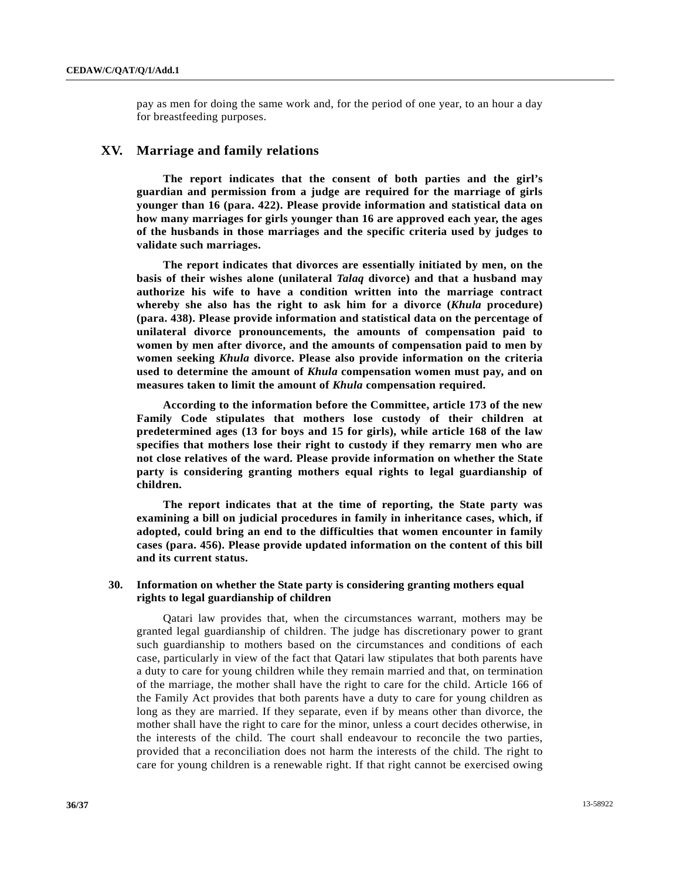pay as men for doing the same work and, for the period of one year, to an hour a day for breastfeeding purposes.

## **XV. Marriage and family relations**

**The report indicates that the consent of both parties and the girl's guardian and permission from a judge are required for the marriage of girls younger than 16 (para. 422). Please provide information and statistical data on how many marriages for girls younger than 16 are approved each year, the ages of the husbands in those marriages and the specific criteria used by judges to validate such marriages.** 

**The report indicates that divorces are essentially initiated by men, on the basis of their wishes alone (unilateral** *Talaq* **divorce) and that a husband may authorize his wife to have a condition written into the marriage contract whereby she also has the right to ask him for a divorce (***Khula* **procedure) (para. 438). Please provide information and statistical data on the percentage of unilateral divorce pronouncements, the amounts of compensation paid to women by men after divorce, and the amounts of compensation paid to men by women seeking** *Khula* **divorce. Please also provide information on the criteria used to determine the amount of** *Khula* **compensation women must pay, and on measures taken to limit the amount of** *Khula* **compensation required.** 

**According to the information before the Committee, article 173 of the new Family Code stipulates that mothers lose custody of their children at predetermined ages (13 for boys and 15 for girls), while article 168 of the law specifies that mothers lose their right to custody if they remarry men who are not close relatives of the ward. Please provide information on whether the State party is considering granting mothers equal rights to legal guardianship of children.** 

 **The report indicates that at the time of reporting, the State party was examining a bill on judicial procedures in family in inheritance cases, which, if adopted, could bring an end to the difficulties that women encounter in family cases (para. 456). Please provide updated information on the content of this bill and its current status.** 

## **30. Information on whether the State party is considering granting mothers equal rights to legal guardianship of children**

 Qatari law provides that, when the circumstances warrant, mothers may be granted legal guardianship of children. The judge has discretionary power to grant such guardianship to mothers based on the circumstances and conditions of each case, particularly in view of the fact that Qatari law stipulates that both parents have a duty to care for young children while they remain married and that, on termination of the marriage, the mother shall have the right to care for the child. Article 166 of the Family Act provides that both parents have a duty to care for young children as long as they are married. If they separate, even if by means other than divorce, the mother shall have the right to care for the minor, unless a court decides otherwise, in the interests of the child. The court shall endeavour to reconcile the two parties, provided that a reconciliation does not harm the interests of the child. The right to care for young children is a renewable right. If that right cannot be exercised owing